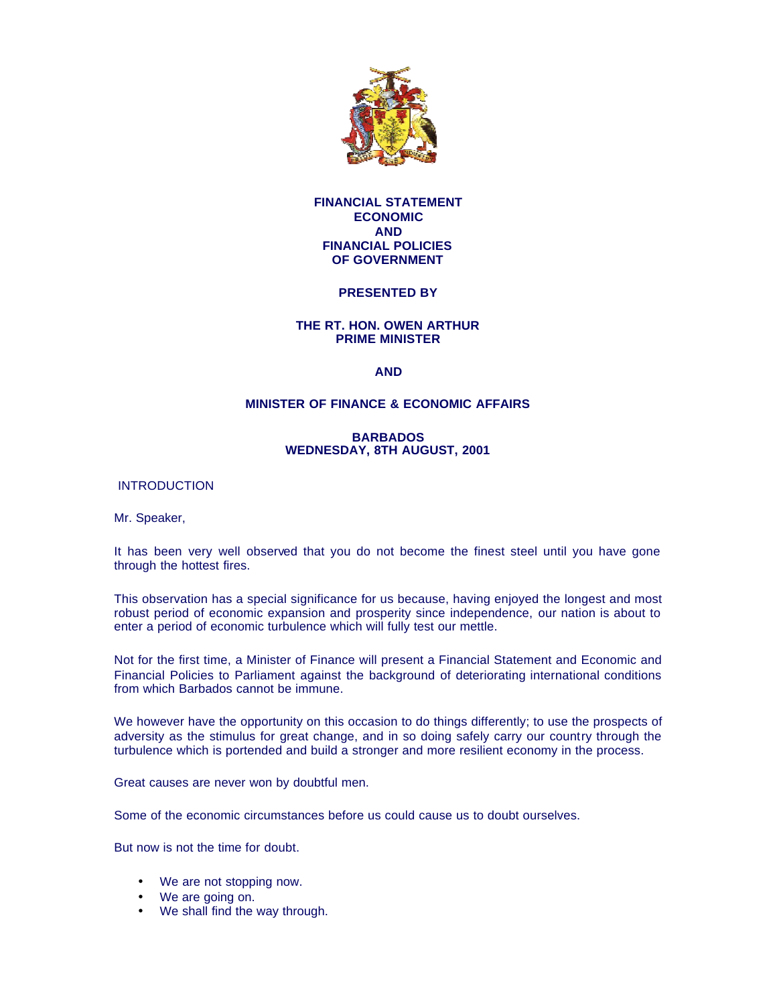

# **FINANCIAL STATEMENT ECONOMIC AND FINANCIAL POLICIES OF GOVERNMENT**

# **PRESENTED BY**

# **THE RT. HON. OWEN ARTHUR PRIME MINISTER**

# **AND**

# **MINISTER OF FINANCE & ECONOMIC AFFAIRS**

# **BARBADOS WEDNESDAY, 8TH AUGUST, 2001**

**INTRODUCTION** 

Mr. Speaker,

It has been very well observed that you do not become the finest steel until you have gone through the hottest fires.

This observation has a special significance for us because, having enjoyed the longest and most robust period of economic expansion and prosperity since independence, our nation is about to enter a period of economic turbulence which will fully test our mettle.

Not for the first time, a Minister of Finance will present a Financial Statement and Economic and Financial Policies to Parliament against the background of deteriorating international conditions from which Barbados cannot be immune.

We however have the opportunity on this occasion to do things differently; to use the prospects of adversity as the stimulus for great change, and in so doing safely carry our country through the turbulence which is portended and build a stronger and more resilient economy in the process.

Great causes are never won by doubtful men.

Some of the economic circumstances before us could cause us to doubt ourselves.

But now is not the time for doubt.

- We are not stopping now.
- We are going on.
- We shall find the way through.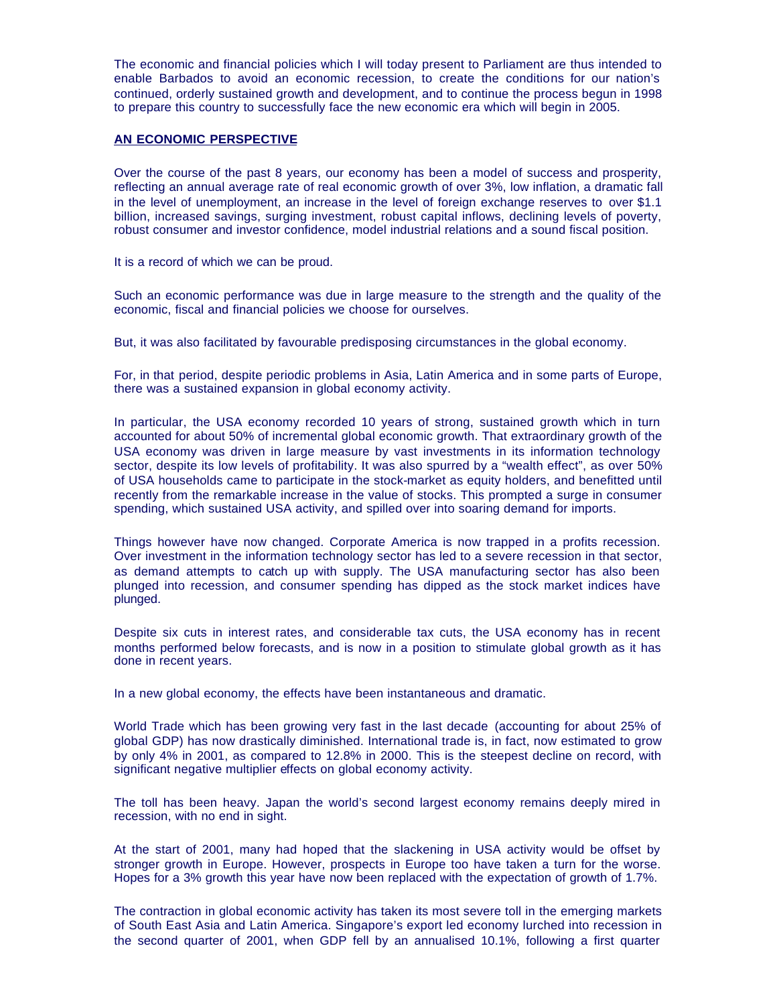The economic and financial policies which I will today present to Parliament are thus intended to enable Barbados to avoid an economic recession, to create the conditions for our nation's continued, orderly sustained growth and development, and to continue the process begun in 1998 to prepare this country to successfully face the new economic era which will begin in 2005.

# **AN ECONOMIC PERSPECTIVE**

Over the course of the past 8 years, our economy has been a model of success and prosperity, reflecting an annual average rate of real economic growth of over 3%, low inflation, a dramatic fall in the level of unemployment, an increase in the level of foreign exchange reserves to over \$1.1 billion, increased savings, surging investment, robust capital inflows, declining levels of poverty, robust consumer and investor confidence, model industrial relations and a sound fiscal position.

It is a record of which we can be proud.

Such an economic performance was due in large measure to the strength and the quality of the economic, fiscal and financial policies we choose for ourselves.

But, it was also facilitated by favourable predisposing circumstances in the global economy.

For, in that period, despite periodic problems in Asia, Latin America and in some parts of Europe, there was a sustained expansion in global economy activity.

In particular, the USA economy recorded 10 years of strong, sustained growth which in turn accounted for about 50% of incremental global economic growth. That extraordinary growth of the USA economy was driven in large measure by vast investments in its information technology sector, despite its low levels of profitability. It was also spurred by a "wealth effect", as over 50% of USA households came to participate in the stock-market as equity holders, and benefitted until recently from the remarkable increase in the value of stocks. This prompted a surge in consumer spending, which sustained USA activity, and spilled over into soaring demand for imports.

Things however have now changed. Corporate America is now trapped in a profits recession. Over investment in the information technology sector has led to a severe recession in that sector, as demand attempts to catch up with supply. The USA manufacturing sector has also been plunged into recession, and consumer spending has dipped as the stock market indices have plunged.

Despite six cuts in interest rates, and considerable tax cuts, the USA economy has in recent months performed below forecasts, and is now in a position to stimulate global growth as it has done in recent years.

In a new global economy, the effects have been instantaneous and dramatic.

World Trade which has been growing very fast in the last decade (accounting for about 25% of global GDP) has now drastically diminished. International trade is, in fact, now estimated to grow by only 4% in 2001, as compared to 12.8% in 2000. This is the steepest decline on record, with significant negative multiplier effects on global economy activity.

The toll has been heavy. Japan the world's second largest economy remains deeply mired in recession, with no end in sight.

At the start of 2001, many had hoped that the slackening in USA activity would be offset by stronger growth in Europe. However, prospects in Europe too have taken a turn for the worse. Hopes for a 3% growth this year have now been replaced with the expectation of growth of 1.7%.

The contraction in global economic activity has taken its most severe toll in the emerging markets of South East Asia and Latin America. Singapore's export led economy lurched into recession in the second quarter of 2001, when GDP fell by an annualised 10.1%, following a first quarter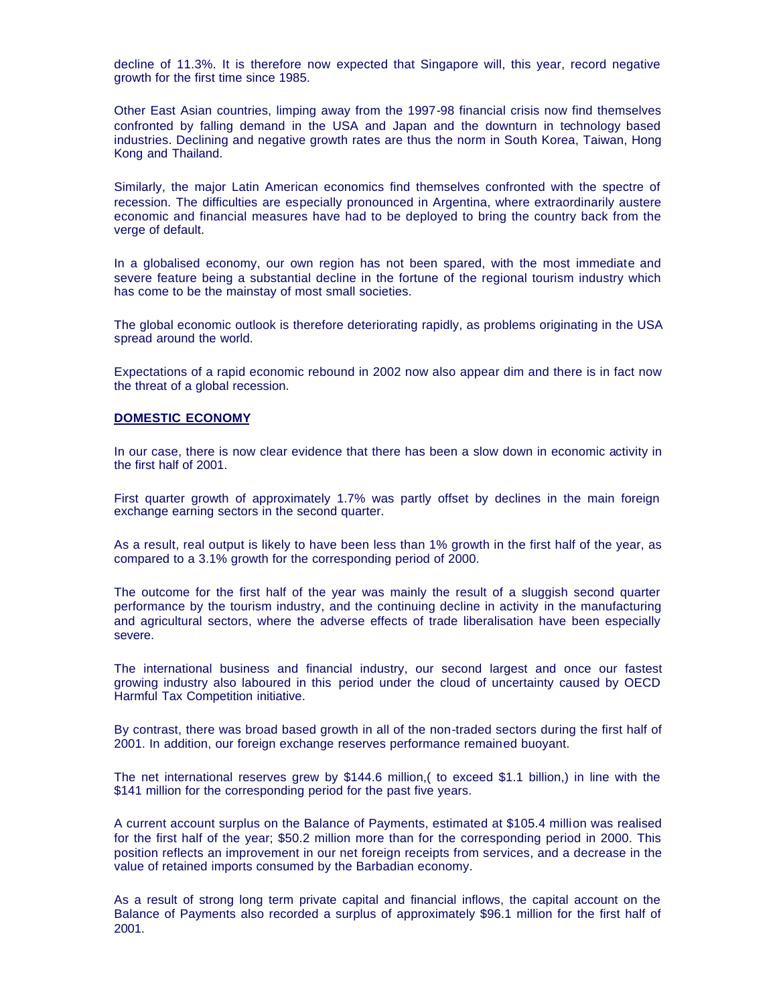decline of 11.3%. It is therefore now expected that Singapore will, this year, record negative growth for the first time since 1985.

Other East Asian countries, limping away from the 1997-98 financial crisis now find themselves confronted by falling demand in the USA and Japan and the downturn in technology based industries. Declining and negative growth rates are thus the norm in South Korea, Taiwan, Hong Kong and Thailand.

Similarly, the major Latin American economics find themselves confronted with the spectre of recession. The difficulties are especially pronounced in Argentina, where extraordinarily austere economic and financial measures have had to be deployed to bring the country back from the verge of default.

In a globalised economy, our own region has not been spared, with the most immediate and severe feature being a substantial decline in the fortune of the regional tourism industry which has come to be the mainstay of most small societies.

The global economic outlook is therefore deteriorating rapidly, as problems originating in the USA spread around the world.

Expectations of a rapid economic rebound in 2002 now also appear dim and there is in fact now the threat of a global recession.

#### **DOMESTIC ECONOMY**

In our case, there is now clear evidence that there has been a slow down in economic activity in the first half of 2001.

First quarter growth of approximately 1.7% was partly offset by declines in the main foreign exchange earning sectors in the second quarter.

As a result, real output is likely to have been less than 1% growth in the first half of the year, as compared to a 3.1% growth for the corresponding period of 2000.

The outcome for the first half of the year was mainly the result of a sluggish second quarter performance by the tourism industry, and the continuing decline in activity in the manufacturing and agricultural sectors, where the adverse effects of trade liberalisation have been especially severe.

The international business and financial industry, our second largest and once our fastest growing industry also laboured in this period under the cloud of uncertainty caused by OECD Harmful Tax Competition initiative.

By contrast, there was broad based growth in all of the non-traded sectors during the first half of 2001. In addition, our foreign exchange reserves performance remained buoyant.

The net international reserves grew by \$144.6 million,( to exceed \$1.1 billion,) in line with the \$141 million for the corresponding period for the past five years.

A current account surplus on the Balance of Payments, estimated at \$105.4 million was realised for the first half of the year; \$50.2 million more than for the corresponding period in 2000. This position reflects an improvement in our net foreign receipts from services, and a decrease in the value of retained imports consumed by the Barbadian economy.

As a result of strong long term private capital and financial inflows, the capital account on the Balance of Payments also recorded a surplus of approximately \$96.1 million for the first half of 2001.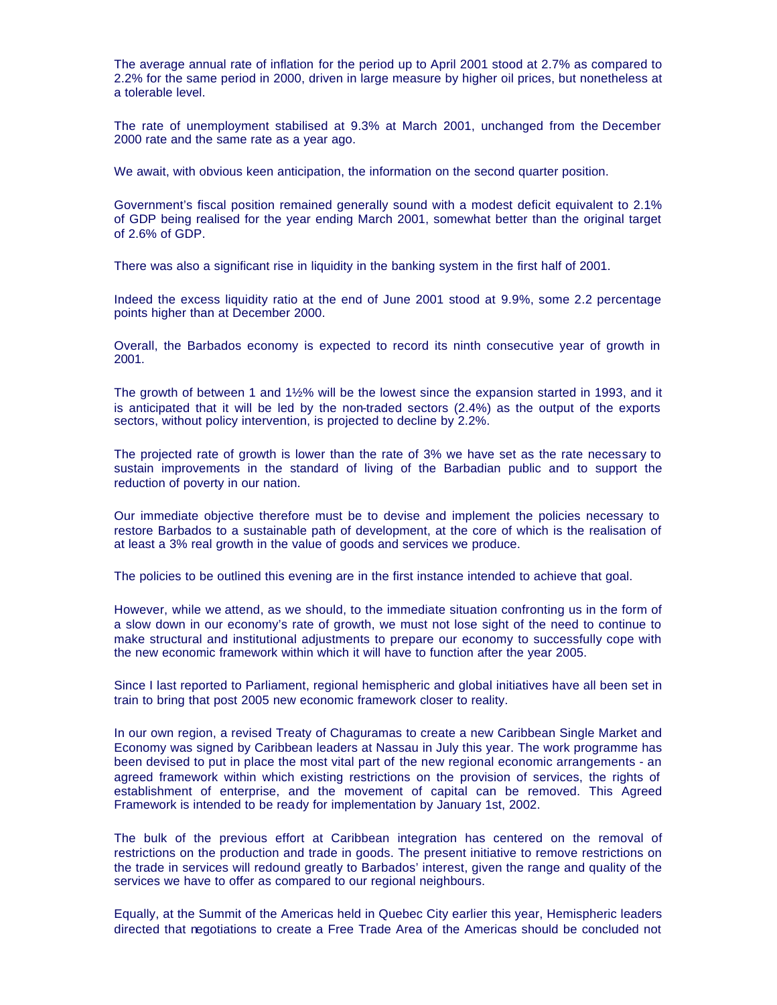The average annual rate of inflation for the period up to April 2001 stood at 2.7% as compared to 2.2% for the same period in 2000, driven in large measure by higher oil prices, but nonetheless at a tolerable level.

The rate of unemployment stabilised at 9.3% at March 2001, unchanged from the December 2000 rate and the same rate as a year ago.

We await, with obvious keen anticipation, the information on the second quarter position.

Government's fiscal position remained generally sound with a modest deficit equivalent to 2.1% of GDP being realised for the year ending March 2001, somewhat better than the original target of 2.6% of GDP.

There was also a significant rise in liquidity in the banking system in the first half of 2001.

Indeed the excess liquidity ratio at the end of June 2001 stood at 9.9%, some 2.2 percentage points higher than at December 2000.

Overall, the Barbados economy is expected to record its ninth consecutive year of growth in 2001.

The growth of between 1 and 1½% will be the lowest since the expansion started in 1993, and it is anticipated that it will be led by the non-traded sectors (2.4%) as the output of the exports sectors, without policy intervention, is projected to decline by 2.2%.

The projected rate of growth is lower than the rate of 3% we have set as the rate necessary to sustain improvements in the standard of living of the Barbadian public and to support the reduction of poverty in our nation.

Our immediate objective therefore must be to devise and implement the policies necessary to restore Barbados to a sustainable path of development, at the core of which is the realisation of at least a 3% real growth in the value of goods and services we produce.

The policies to be outlined this evening are in the first instance intended to achieve that goal.

However, while we attend, as we should, to the immediate situation confronting us in the form of a slow down in our economy's rate of growth, we must not lose sight of the need to continue to make structural and institutional adjustments to prepare our economy to successfully cope with the new economic framework within which it will have to function after the year 2005.

Since I last reported to Parliament, regional hemispheric and global initiatives have all been set in train to bring that post 2005 new economic framework closer to reality.

In our own region, a revised Treaty of Chaguramas to create a new Caribbean Single Market and Economy was signed by Caribbean leaders at Nassau in July this year. The work programme has been devised to put in place the most vital part of the new regional economic arrangements - an agreed framework within which existing restrictions on the provision of services, the rights of establishment of enterprise, and the movement of capital can be removed. This Agreed Framework is intended to be ready for implementation by January 1st, 2002.

The bulk of the previous effort at Caribbean integration has centered on the removal of restrictions on the production and trade in goods. The present initiative to remove restrictions on the trade in services will redound greatly to Barbados' interest, given the range and quality of the services we have to offer as compared to our regional neighbours.

Equally, at the Summit of the Americas held in Quebec City earlier this year, Hemispheric leaders directed that negotiations to create a Free Trade Area of the Americas should be concluded not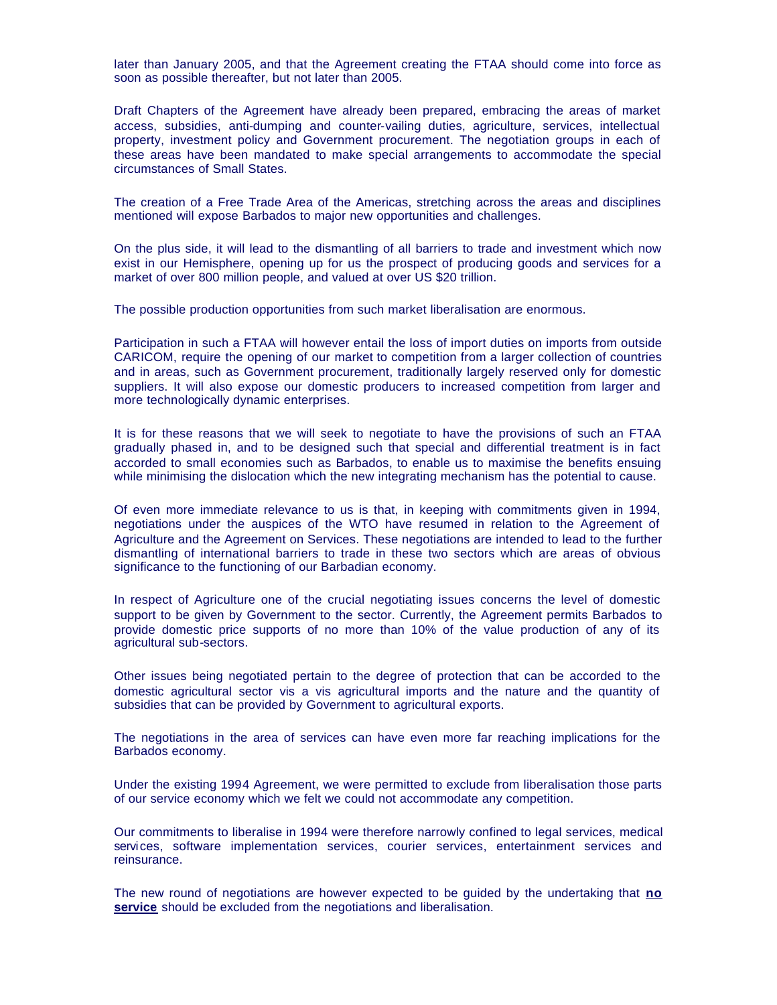later than January 2005, and that the Agreement creating the FTAA should come into force as soon as possible thereafter, but not later than 2005.

Draft Chapters of the Agreement have already been prepared, embracing the areas of market access, subsidies, anti-dumping and counter-vailing duties, agriculture, services, intellectual property, investment policy and Government procurement. The negotiation groups in each of these areas have been mandated to make special arrangements to accommodate the special circumstances of Small States.

The creation of a Free Trade Area of the Americas, stretching across the areas and disciplines mentioned will expose Barbados to major new opportunities and challenges.

On the plus side, it will lead to the dismantling of all barriers to trade and investment which now exist in our Hemisphere, opening up for us the prospect of producing goods and services for a market of over 800 million people, and valued at over US \$20 trillion.

The possible production opportunities from such market liberalisation are enormous.

Participation in such a FTAA will however entail the loss of import duties on imports from outside CARICOM, require the opening of our market to competition from a larger collection of countries and in areas, such as Government procurement, traditionally largely reserved only for domestic suppliers. It will also expose our domestic producers to increased competition from larger and more technologically dynamic enterprises.

It is for these reasons that we will seek to negotiate to have the provisions of such an FTAA gradually phased in, and to be designed such that special and differential treatment is in fact accorded to small economies such as Barbados, to enable us to maximise the benefits ensuing while minimising the dislocation which the new integrating mechanism has the potential to cause.

Of even more immediate relevance to us is that, in keeping with commitments given in 1994, negotiations under the auspices of the WTO have resumed in relation to the Agreement of Agriculture and the Agreement on Services. These negotiations are intended to lead to the further dismantling of international barriers to trade in these two sectors which are areas of obvious significance to the functioning of our Barbadian economy.

In respect of Agriculture one of the crucial negotiating issues concerns the level of domestic support to be given by Government to the sector. Currently, the Agreement permits Barbados to provide domestic price supports of no more than 10% of the value production of any of its agricultural sub-sectors.

Other issues being negotiated pertain to the degree of protection that can be accorded to the domestic agricultural sector vis a vis agricultural imports and the nature and the quantity of subsidies that can be provided by Government to agricultural exports.

The negotiations in the area of services can have even more far reaching implications for the Barbados economy.

Under the existing 1994 Agreement, we were permitted to exclude from liberalisation those parts of our service economy which we felt we could not accommodate any competition.

Our commitments to liberalise in 1994 were therefore narrowly confined to legal services, medical services, software implementation services, courier services, entertainment services and reinsurance.

The new round of negotiations are however expected to be guided by the undertaking that **no service** should be excluded from the negotiations and liberalisation.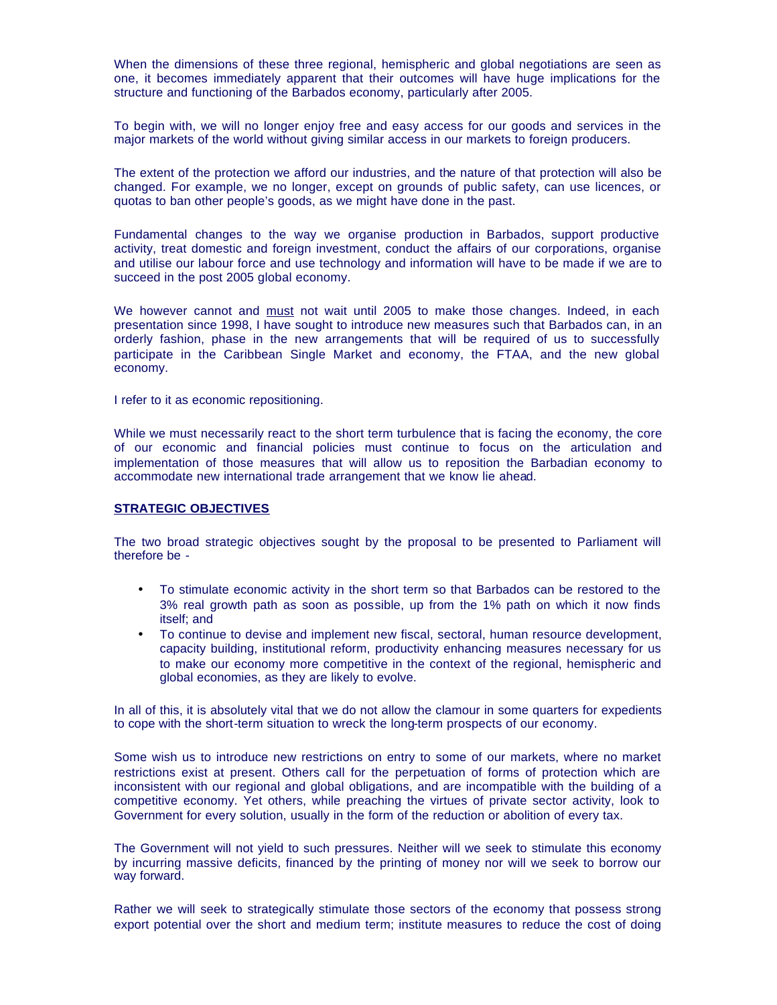When the dimensions of these three regional, hemispheric and global negotiations are seen as one, it becomes immediately apparent that their outcomes will have huge implications for the structure and functioning of the Barbados economy, particularly after 2005.

To begin with, we will no longer enjoy free and easy access for our goods and services in the major markets of the world without giving similar access in our markets to foreign producers.

The extent of the protection we afford our industries, and the nature of that protection will also be changed. For example, we no longer, except on grounds of public safety, can use licences, or quotas to ban other people's goods, as we might have done in the past.

Fundamental changes to the way we organise production in Barbados, support productive activity, treat domestic and foreign investment, conduct the affairs of our corporations, organise and utilise our labour force and use technology and information will have to be made if we are to succeed in the post 2005 global economy.

We however cannot and must not wait until 2005 to make those changes. Indeed, in each presentation since 1998, I have sought to introduce new measures such that Barbados can, in an orderly fashion, phase in the new arrangements that will be required of us to successfully participate in the Caribbean Single Market and economy, the FTAA, and the new global economy.

I refer to it as economic repositioning.

While we must necessarily react to the short term turbulence that is facing the economy, the core of our economic and financial policies must continue to focus on the articulation and implementation of those measures that will allow us to reposition the Barbadian economy to accommodate new international trade arrangement that we know lie ahead.

# **STRATEGIC OBJECTIVES**

The two broad strategic objectives sought by the proposal to be presented to Parliament will therefore be -

- To stimulate economic activity in the short term so that Barbados can be restored to the 3% real growth path as soon as possible, up from the 1% path on which it now finds itself; and
- To continue to devise and implement new fiscal, sectoral, human resource development, capacity building, institutional reform, productivity enhancing measures necessary for us to make our economy more competitive in the context of the regional, hemispheric and global economies, as they are likely to evolve.

In all of this, it is absolutely vital that we do not allow the clamour in some quarters for expedients to cope with the short-term situation to wreck the long-term prospects of our economy.

Some wish us to introduce new restrictions on entry to some of our markets, where no market restrictions exist at present. Others call for the perpetuation of forms of protection which are inconsistent with our regional and global obligations, and are incompatible with the building of a competitive economy. Yet others, while preaching the virtues of private sector activity, look to Government for every solution, usually in the form of the reduction or abolition of every tax.

The Government will not yield to such pressures. Neither will we seek to stimulate this economy by incurring massive deficits, financed by the printing of money nor will we seek to borrow our way forward.

Rather we will seek to strategically stimulate those sectors of the economy that possess strong export potential over the short and medium term; institute measures to reduce the cost of doing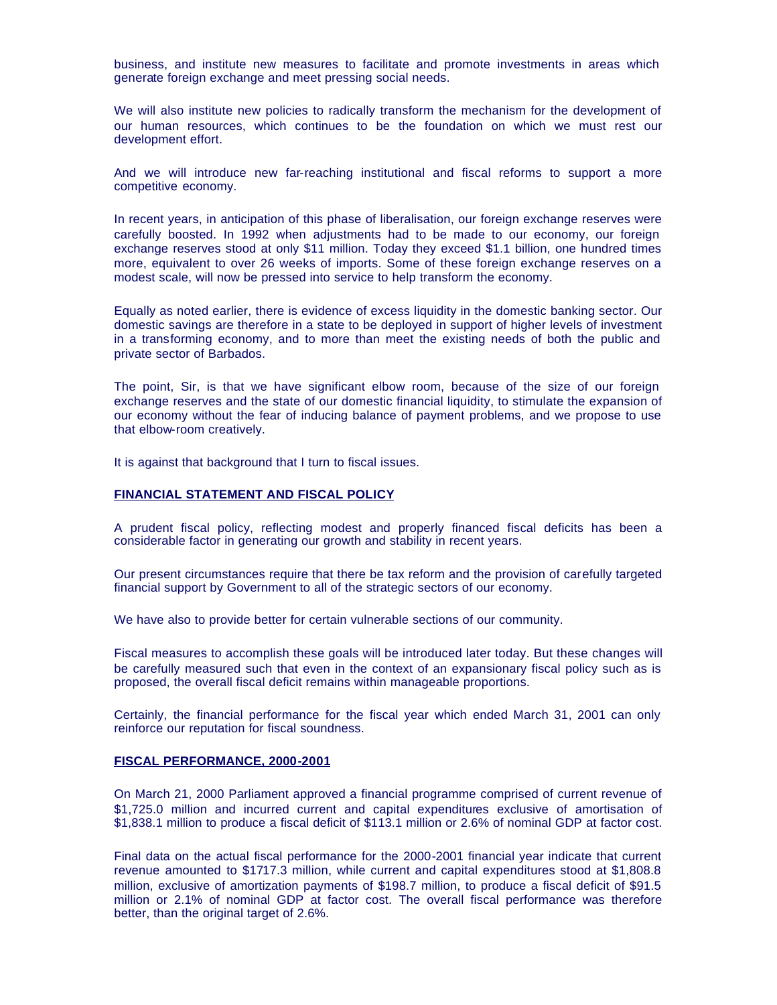business, and institute new measures to facilitate and promote investments in areas which generate foreign exchange and meet pressing social needs.

We will also institute new policies to radically transform the mechanism for the development of our human resources, which continues to be the foundation on which we must rest our development effort.

And we will introduce new far-reaching institutional and fiscal reforms to support a more competitive economy.

In recent years, in anticipation of this phase of liberalisation, our foreign exchange reserves were carefully boosted. In 1992 when adjustments had to be made to our economy, our foreign exchange reserves stood at only \$11 million. Today they exceed \$1.1 billion, one hundred times more, equivalent to over 26 weeks of imports. Some of these foreign exchange reserves on a modest scale, will now be pressed into service to help transform the economy.

Equally as noted earlier, there is evidence of excess liquidity in the domestic banking sector. Our domestic savings are therefore in a state to be deployed in support of higher levels of investment in a transforming economy, and to more than meet the existing needs of both the public and private sector of Barbados.

The point, Sir, is that we have significant elbow room, because of the size of our foreign exchange reserves and the state of our domestic financial liquidity, to stimulate the expansion of our economy without the fear of inducing balance of payment problems, and we propose to use that elbow-room creatively.

It is against that background that I turn to fiscal issues.

### **FINANCIAL STATEMENT AND FISCAL POLICY**

A prudent fiscal policy, reflecting modest and properly financed fiscal deficits has been a considerable factor in generating our growth and stability in recent years.

Our present circumstances require that there be tax reform and the provision of carefully targeted financial support by Government to all of the strategic sectors of our economy.

We have also to provide better for certain vulnerable sections of our community.

Fiscal measures to accomplish these goals will be introduced later today. But these changes will be carefully measured such that even in the context of an expansionary fiscal policy such as is proposed, the overall fiscal deficit remains within manageable proportions.

Certainly, the financial performance for the fiscal year which ended March 31, 2001 can only reinforce our reputation for fiscal soundness.

### **FISCAL PERFORMANCE, 2000-2001**

On March 21, 2000 Parliament approved a financial programme comprised of current revenue of \$1,725.0 million and incurred current and capital expenditures exclusive of amortisation of \$1,838.1 million to produce a fiscal deficit of \$113.1 million or 2.6% of nominal GDP at factor cost.

Final data on the actual fiscal performance for the 2000-2001 financial year indicate that current revenue amounted to \$1717.3 million, while current and capital expenditures stood at \$1,808.8 million, exclusive of amortization payments of \$198.7 million, to produce a fiscal deficit of \$91.5 million or 2.1% of nominal GDP at factor cost. The overall fiscal performance was therefore better, than the original target of 2.6%.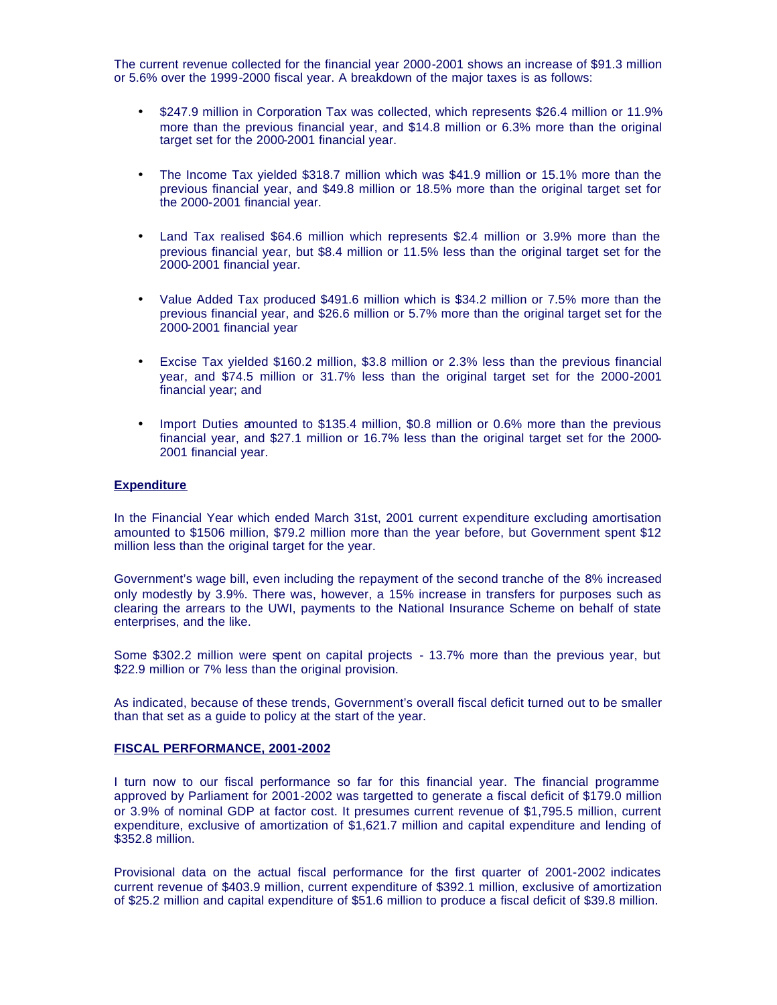The current revenue collected for the financial year 2000-2001 shows an increase of \$91.3 million or 5.6% over the 1999-2000 fiscal year. A breakdown of the major taxes is as follows:

- \$247.9 million in Corporation Tax was collected, which represents \$26.4 million or 11.9% more than the previous financial year, and \$14.8 million or 6.3% more than the original target set for the 2000-2001 financial year.
- The Income Tax yielded \$318.7 million which was \$41.9 million or 15.1% more than the previous financial year, and \$49.8 million or 18.5% more than the original target set for the 2000-2001 financial year.
- Land Tax realised \$64.6 million which represents \$2.4 million or 3.9% more than the previous financial year, but \$8.4 million or 11.5% less than the original target set for the 2000-2001 financial year.
- Value Added Tax produced \$491.6 million which is \$34.2 million or 7.5% more than the previous financial year, and \$26.6 million or 5.7% more than the original target set for the 2000-2001 financial year
- Excise Tax yielded \$160.2 million, \$3.8 million or 2.3% less than the previous financial year, and \$74.5 million or 31.7% less than the original target set for the 2000-2001 financial year; and
- Import Duties amounted to \$135.4 million, \$0.8 million or 0.6% more than the previous financial year, and \$27.1 million or 16.7% less than the original target set for the 2000- 2001 financial year.

# **Expenditure**

In the Financial Year which ended March 31st, 2001 current expenditure excluding amortisation amounted to \$1506 million, \$79.2 million more than the year before, but Government spent \$12 million less than the original target for the year.

Government's wage bill, even including the repayment of the second tranche of the 8% increased only modestly by 3.9%. There was, however, a 15% increase in transfers for purposes such as clearing the arrears to the UWI, payments to the National Insurance Scheme on behalf of state enterprises, and the like.

Some \$302.2 million were spent on capital projects - 13.7% more than the previous year, but \$22.9 million or 7% less than the original provision.

As indicated, because of these trends, Government's overall fiscal deficit turned out to be smaller than that set as a guide to policy at the start of the year.

### **FISCAL PERFORMANCE, 2001-2002**

I turn now to our fiscal performance so far for this financial year. The financial programme approved by Parliament for 2001-2002 was targetted to generate a fiscal deficit of \$179.0 million or 3.9% of nominal GDP at factor cost. It presumes current revenue of \$1,795.5 million, current expenditure, exclusive of amortization of \$1,621.7 million and capital expenditure and lending of \$352.8 million.

Provisional data on the actual fiscal performance for the first quarter of 2001-2002 indicates current revenue of \$403.9 million, current expenditure of \$392.1 million, exclusive of amortization of \$25.2 million and capital expenditure of \$51.6 million to produce a fiscal deficit of \$39.8 million.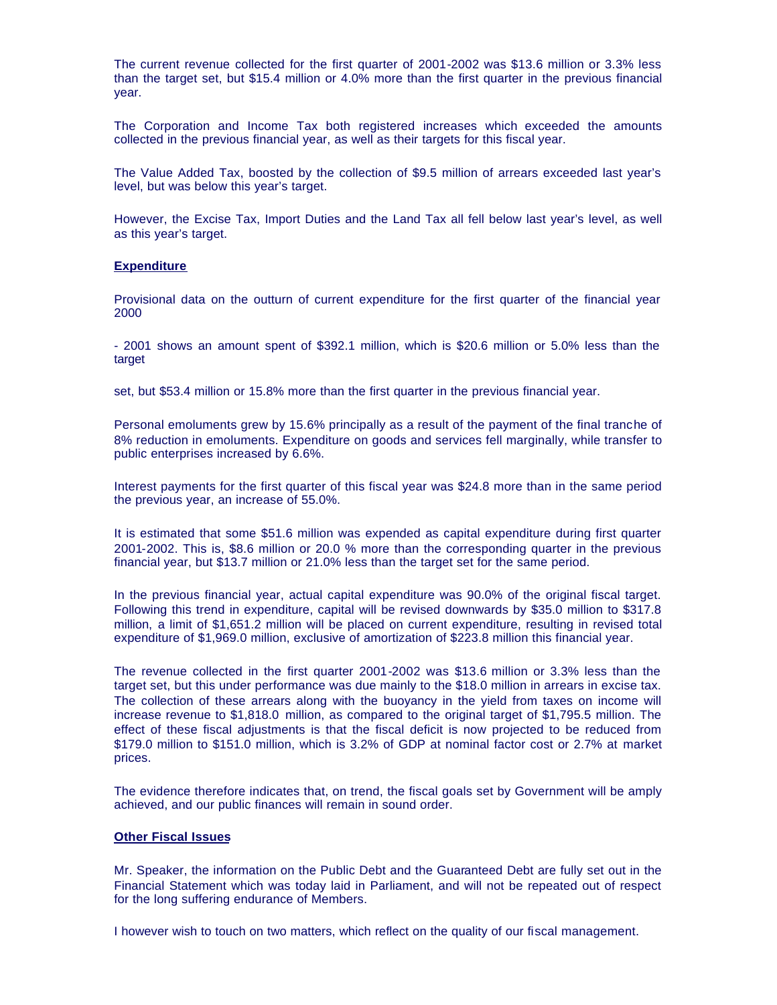The current revenue collected for the first quarter of 2001-2002 was \$13.6 million or 3.3% less than the target set, but \$15.4 million or 4.0% more than the first quarter in the previous financial year.

The Corporation and Income Tax both registered increases which exceeded the amounts collected in the previous financial year, as well as their targets for this fiscal year.

The Value Added Tax, boosted by the collection of \$9.5 million of arrears exceeded last year's level, but was below this year's target.

However, the Excise Tax, Import Duties and the Land Tax all fell below last year's level, as well as this year's target.

## **Expenditure**

Provisional data on the outturn of current expenditure for the first quarter of the financial year 2000

- 2001 shows an amount spent of \$392.1 million, which is \$20.6 million or 5.0% less than the target

set, but \$53.4 million or 15.8% more than the first quarter in the previous financial year.

Personal emoluments grew by 15.6% principally as a result of the payment of the final tranche of 8% reduction in emoluments. Expenditure on goods and services fell marginally, while transfer to public enterprises increased by 6.6%.

Interest payments for the first quarter of this fiscal year was \$24.8 more than in the same period the previous year, an increase of 55.0%.

It is estimated that some \$51.6 million was expended as capital expenditure during first quarter 2001-2002. This is, \$8.6 million or 20.0 % more than the corresponding quarter in the previous financial year, but \$13.7 million or 21.0% less than the target set for the same period.

In the previous financial year, actual capital expenditure was 90.0% of the original fiscal target. Following this trend in expenditure, capital will be revised downwards by \$35.0 million to \$317.8 million, a limit of \$1,651.2 million will be placed on current expenditure, resulting in revised total expenditure of \$1,969.0 million, exclusive of amortization of \$223.8 million this financial year.

The revenue collected in the first quarter 2001-2002 was \$13.6 million or 3.3% less than the target set, but this under performance was due mainly to the \$18.0 million in arrears in excise tax. The collection of these arrears along with the buoyancy in the yield from taxes on income will increase revenue to \$1,818.0 million, as compared to the original target of \$1,795.5 million. The effect of these fiscal adjustments is that the fiscal deficit is now projected to be reduced from \$179.0 million to \$151.0 million, which is 3.2% of GDP at nominal factor cost or 2.7% at market prices.

The evidence therefore indicates that, on trend, the fiscal goals set by Government will be amply achieved, and our public finances will remain in sound order.

# **Other Fiscal Issues**

Mr. Speaker, the information on the Public Debt and the Guaranteed Debt are fully set out in the Financial Statement which was today laid in Parliament, and will not be repeated out of respect for the long suffering endurance of Members.

I however wish to touch on two matters, which reflect on the quality of our fiscal management.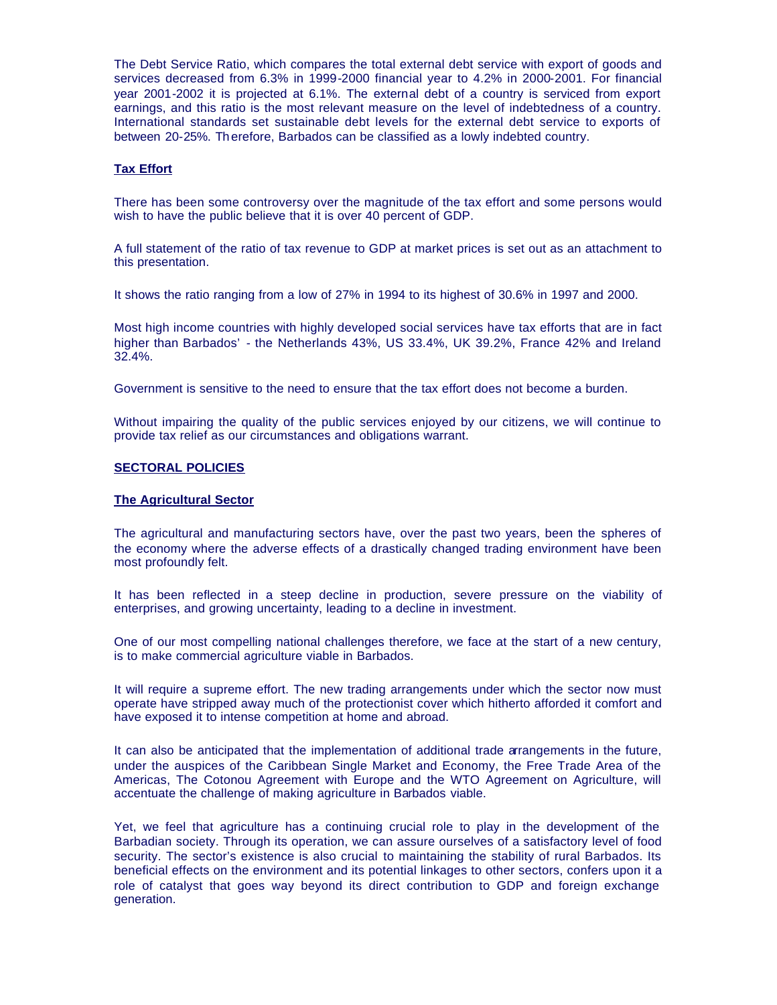The Debt Service Ratio, which compares the total external debt service with export of goods and services decreased from 6.3% in 1999-2000 financial year to 4.2% in 2000-2001. For financial year 2001-2002 it is projected at 6.1%. The external debt of a country is serviced from export earnings, and this ratio is the most relevant measure on the level of indebtedness of a country. International standards set sustainable debt levels for the external debt service to exports of between 20-25%. Therefore, Barbados can be classified as a lowly indebted country.

### **Tax Effort**

There has been some controversy over the magnitude of the tax effort and some persons would wish to have the public believe that it is over 40 percent of GDP.

A full statement of the ratio of tax revenue to GDP at market prices is set out as an attachment to this presentation.

It shows the ratio ranging from a low of 27% in 1994 to its highest of 30.6% in 1997 and 2000.

Most high income countries with highly developed social services have tax efforts that are in fact higher than Barbados' - the Netherlands 43%, US 33.4%, UK 39.2%, France 42% and Ireland 32.4%.

Government is sensitive to the need to ensure that the tax effort does not become a burden.

Without impairing the quality of the public services enjoyed by our citizens, we will continue to provide tax relief as our circumstances and obligations warrant.

# **SECTORAL POLICIES**

### **The Agricultural Sector**

The agricultural and manufacturing sectors have, over the past two years, been the spheres of the economy where the adverse effects of a drastically changed trading environment have been most profoundly felt.

It has been reflected in a steep decline in production, severe pressure on the viability of enterprises, and growing uncertainty, leading to a decline in investment.

One of our most compelling national challenges therefore, we face at the start of a new century, is to make commercial agriculture viable in Barbados.

It will require a supreme effort. The new trading arrangements under which the sector now must operate have stripped away much of the protectionist cover which hitherto afforded it comfort and have exposed it to intense competition at home and abroad.

It can also be anticipated that the implementation of additional trade arrangements in the future, under the auspices of the Caribbean Single Market and Economy, the Free Trade Area of the Americas, The Cotonou Agreement with Europe and the WTO Agreement on Agriculture, will accentuate the challenge of making agriculture in Barbados viable.

Yet, we feel that agriculture has a continuing crucial role to play in the development of the Barbadian society. Through its operation, we can assure ourselves of a satisfactory level of food security. The sector's existence is also crucial to maintaining the stability of rural Barbados. Its beneficial effects on the environment and its potential linkages to other sectors, confers upon it a role of catalyst that goes way beyond its direct contribution to GDP and foreign exchange generation.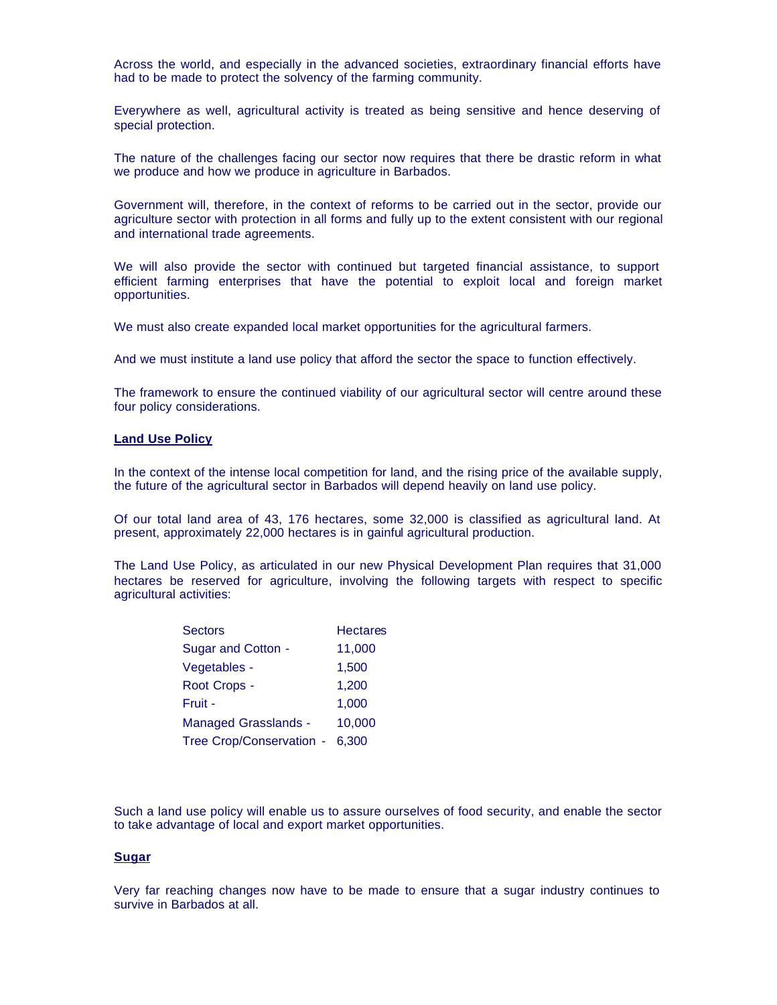Across the world, and especially in the advanced societies, extraordinary financial efforts have had to be made to protect the solvency of the farming community.

Everywhere as well, agricultural activity is treated as being sensitive and hence deserving of special protection.

The nature of the challenges facing our sector now requires that there be drastic reform in what we produce and how we produce in agriculture in Barbados.

Government will, therefore, in the context of reforms to be carried out in the sector, provide our agriculture sector with protection in all forms and fully up to the extent consistent with our regional and international trade agreements.

We will also provide the sector with continued but targeted financial assistance, to support efficient farming enterprises that have the potential to exploit local and foreign market opportunities.

We must also create expanded local market opportunities for the agricultural farmers.

And we must institute a land use policy that afford the sector the space to function effectively.

The framework to ensure the continued viability of our agricultural sector will centre around these four policy considerations.

# **Land Use Policy**

In the context of the intense local competition for land, and the rising price of the available supply, the future of the agricultural sector in Barbados will depend heavily on land use policy.

Of our total land area of 43, 176 hectares, some 32,000 is classified as agricultural land. At present, approximately 22,000 hectares is in gainful agricultural production.

The Land Use Policy, as articulated in our new Physical Development Plan requires that 31,000 hectares be reserved for agriculture, involving the following targets with respect to specific agricultural activities:

| <b>Sectors</b>              | <b>Hectares</b> |
|-----------------------------|-----------------|
| Sugar and Cotton -          | 11,000          |
| Vegetables -                | 1,500           |
| Root Crops -                | 1,200           |
| Fruit -                     | 1,000           |
| <b>Managed Grasslands -</b> | 10.000          |
| Tree Crop/Conservation -    | 6.300           |

Such a land use policy will enable us to assure ourselves of food security, and enable the sector to take advantage of local and export market opportunities.

### **Sugar**

Very far reaching changes now have to be made to ensure that a sugar industry continues to survive in Barbados at all.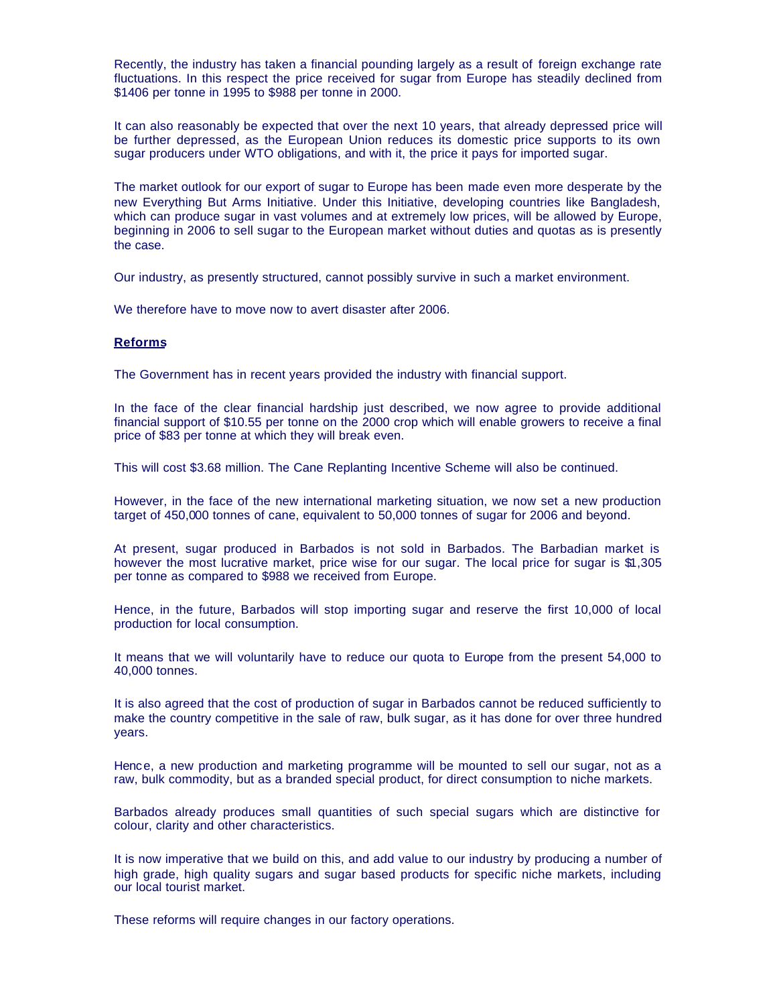Recently, the industry has taken a financial pounding largely as a result of foreign exchange rate fluctuations. In this respect the price received for sugar from Europe has steadily declined from \$1406 per tonne in 1995 to \$988 per tonne in 2000.

It can also reasonably be expected that over the next 10 years, that already depressed price will be further depressed, as the European Union reduces its domestic price supports to its own sugar producers under WTO obligations, and with it, the price it pays for imported sugar.

The market outlook for our export of sugar to Europe has been made even more desperate by the new Everything But Arms Initiative. Under this Initiative, developing countries like Bangladesh, which can produce sugar in vast volumes and at extremely low prices, will be allowed by Europe, beginning in 2006 to sell sugar to the European market without duties and quotas as is presently the case.

Our industry, as presently structured, cannot possibly survive in such a market environment.

We therefore have to move now to avert disaster after 2006.

### **Reforms**

The Government has in recent years provided the industry with financial support.

In the face of the clear financial hardship just described, we now agree to provide additional financial support of \$10.55 per tonne on the 2000 crop which will enable growers to receive a final price of \$83 per tonne at which they will break even.

This will cost \$3.68 million. The Cane Replanting Incentive Scheme will also be continued.

However, in the face of the new international marketing situation, we now set a new production target of 450,000 tonnes of cane, equivalent to 50,000 tonnes of sugar for 2006 and beyond.

At present, sugar produced in Barbados is not sold in Barbados. The Barbadian market is however the most lucrative market, price wise for our sugar. The local price for sugar is \$1,305 per tonne as compared to \$988 we received from Europe.

Hence, in the future, Barbados will stop importing sugar and reserve the first 10,000 of local production for local consumption.

It means that we will voluntarily have to reduce our quota to Europe from the present 54,000 to 40,000 tonnes.

It is also agreed that the cost of production of sugar in Barbados cannot be reduced sufficiently to make the country competitive in the sale of raw, bulk sugar, as it has done for over three hundred years.

Hence, a new production and marketing programme will be mounted to sell our sugar, not as a raw, bulk commodity, but as a branded special product, for direct consumption to niche markets.

Barbados already produces small quantities of such special sugars which are distinctive for colour, clarity and other characteristics.

It is now imperative that we build on this, and add value to our industry by producing a number of high grade, high quality sugars and sugar based products for specific niche markets, including our local tourist market.

These reforms will require changes in our factory operations.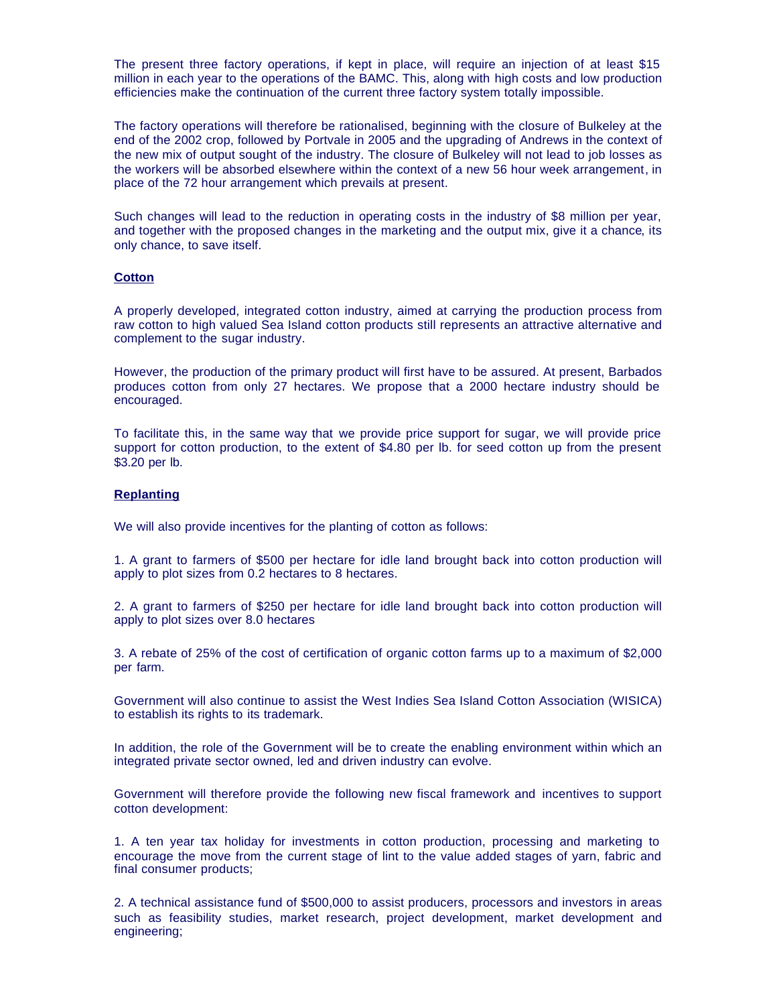The present three factory operations, if kept in place, will require an injection of at least \$15 million in each year to the operations of the BAMC. This, along with high costs and low production efficiencies make the continuation of the current three factory system totally impossible.

The factory operations will therefore be rationalised, beginning with the closure of Bulkeley at the end of the 2002 crop, followed by Portvale in 2005 and the upgrading of Andrews in the context of the new mix of output sought of the industry. The closure of Bulkeley will not lead to job losses as the workers will be absorbed elsewhere within the context of a new 56 hour week arrangement, in place of the 72 hour arrangement which prevails at present.

Such changes will lead to the reduction in operating costs in the industry of \$8 million per year, and together with the proposed changes in the marketing and the output mix, give it a chance, its only chance, to save itself.

#### **Cotton**

A properly developed, integrated cotton industry, aimed at carrying the production process from raw cotton to high valued Sea Island cotton products still represents an attractive alternative and complement to the sugar industry.

However, the production of the primary product will first have to be assured. At present, Barbados produces cotton from only 27 hectares. We propose that a 2000 hectare industry should be encouraged.

To facilitate this, in the same way that we provide price support for sugar, we will provide price support for cotton production, to the extent of \$4.80 per lb. for seed cotton up from the present \$3.20 per lb.

### **Replanting**

We will also provide incentives for the planting of cotton as follows:

1. A grant to farmers of \$500 per hectare for idle land brought back into cotton production will apply to plot sizes from 0.2 hectares to 8 hectares.

2. A grant to farmers of \$250 per hectare for idle land brought back into cotton production will apply to plot sizes over 8.0 hectares

3. A rebate of 25% of the cost of certification of organic cotton farms up to a maximum of \$2,000 per farm.

Government will also continue to assist the West Indies Sea Island Cotton Association (WISICA) to establish its rights to its trademark.

In addition, the role of the Government will be to create the enabling environment within which an integrated private sector owned, led and driven industry can evolve.

Government will therefore provide the following new fiscal framework and incentives to support cotton development:

1. A ten year tax holiday for investments in cotton production, processing and marketing to encourage the move from the current stage of lint to the value added stages of yarn, fabric and final consumer products;

2. A technical assistance fund of \$500,000 to assist producers, processors and investors in areas such as feasibility studies, market research, project development, market development and engineering;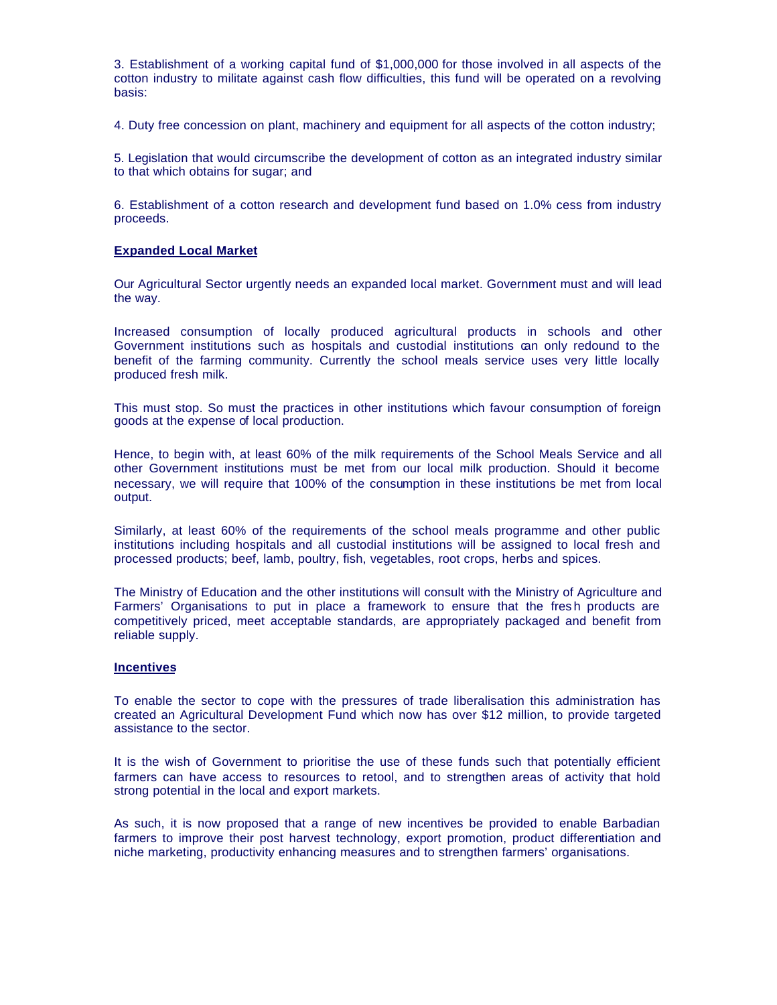3. Establishment of a working capital fund of \$1,000,000 for those involved in all aspects of the cotton industry to militate against cash flow difficulties, this fund will be operated on a revolving basis:

4. Duty free concession on plant, machinery and equipment for all aspects of the cotton industry;

5. Legislation that would circumscribe the development of cotton as an integrated industry similar to that which obtains for sugar; and

6. Establishment of a cotton research and development fund based on 1.0% cess from industry proceeds.

# **Expanded Local Market**

Our Agricultural Sector urgently needs an expanded local market. Government must and will lead the way.

Increased consumption of locally produced agricultural products in schools and other Government institutions such as hospitals and custodial institutions can only redound to the benefit of the farming community. Currently the school meals service uses very little locally produced fresh milk.

This must stop. So must the practices in other institutions which favour consumption of foreign goods at the expense of local production.

Hence, to begin with, at least 60% of the milk requirements of the School Meals Service and all other Government institutions must be met from our local milk production. Should it become necessary, we will require that 100% of the consumption in these institutions be met from local output.

Similarly, at least 60% of the requirements of the school meals programme and other public institutions including hospitals and all custodial institutions will be assigned to local fresh and processed products; beef, lamb, poultry, fish, vegetables, root crops, herbs and spices.

The Ministry of Education and the other institutions will consult with the Ministry of Agriculture and Farmers' Organisations to put in place a framework to ensure that the fres h products are competitively priced, meet acceptable standards, are appropriately packaged and benefit from reliable supply.

#### **Incentives**

To enable the sector to cope with the pressures of trade liberalisation this administration has created an Agricultural Development Fund which now has over \$12 million, to provide targeted assistance to the sector.

It is the wish of Government to prioritise the use of these funds such that potentially efficient farmers can have access to resources to retool, and to strengthen areas of activity that hold strong potential in the local and export markets.

As such, it is now proposed that a range of new incentives be provided to enable Barbadian farmers to improve their post harvest technology, export promotion, product differentiation and niche marketing, productivity enhancing measures and to strengthen farmers' organisations.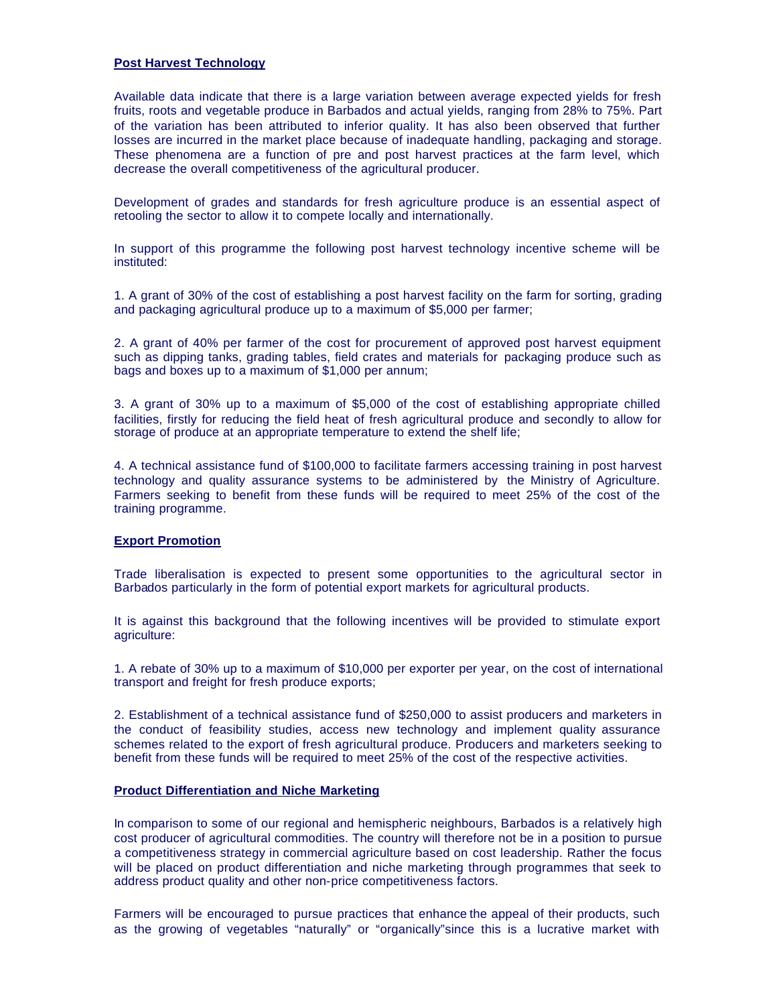# **Post Harvest Technology**

Available data indicate that there is a large variation between average expected yields for fresh fruits, roots and vegetable produce in Barbados and actual yields, ranging from 28% to 75%. Part of the variation has been attributed to inferior quality. It has also been observed that further losses are incurred in the market place because of inadequate handling, packaging and storage. These phenomena are a function of pre and post harvest practices at the farm level, which decrease the overall competitiveness of the agricultural producer.

Development of grades and standards for fresh agriculture produce is an essential aspect of retooling the sector to allow it to compete locally and internationally.

In support of this programme the following post harvest technology incentive scheme will be instituted:

1. A grant of 30% of the cost of establishing a post harvest facility on the farm for sorting, grading and packaging agricultural produce up to a maximum of \$5,000 per farmer;

2. A grant of 40% per farmer of the cost for procurement of approved post harvest equipment such as dipping tanks, grading tables, field crates and materials for packaging produce such as bags and boxes up to a maximum of \$1,000 per annum;

3. A grant of 30% up to a maximum of \$5,000 of the cost of establishing appropriate chilled facilities, firstly for reducing the field heat of fresh agricultural produce and secondly to allow for storage of produce at an appropriate temperature to extend the shelf life;

4. A technical assistance fund of \$100,000 to facilitate farmers accessing training in post harvest technology and quality assurance systems to be administered by the Ministry of Agriculture. Farmers seeking to benefit from these funds will be required to meet 25% of the cost of the training programme.

# **Export Promotion**

Trade liberalisation is expected to present some opportunities to the agricultural sector in Barbados particularly in the form of potential export markets for agricultural products.

It is against this background that the following incentives will be provided to stimulate export agriculture:

1. A rebate of 30% up to a maximum of \$10,000 per exporter per year, on the cost of international transport and freight for fresh produce exports;

2. Establishment of a technical assistance fund of \$250,000 to assist producers and marketers in the conduct of feasibility studies, access new technology and implement quality assurance schemes related to the export of fresh agricultural produce. Producers and marketers seeking to benefit from these funds will be required to meet 25% of the cost of the respective activities.

# **Product Differentiation and Niche Marketing**

In comparison to some of our regional and hemispheric neighbours, Barbados is a relatively high cost producer of agricultural commodities. The country will therefore not be in a position to pursue a competitiveness strategy in commercial agriculture based on cost leadership. Rather the focus will be placed on product differentiation and niche marketing through programmes that seek to address product quality and other non-price competitiveness factors.

Farmers will be encouraged to pursue practices that enhance the appeal of their products, such as the growing of vegetables "naturally" or "organically"since this is a lucrative market with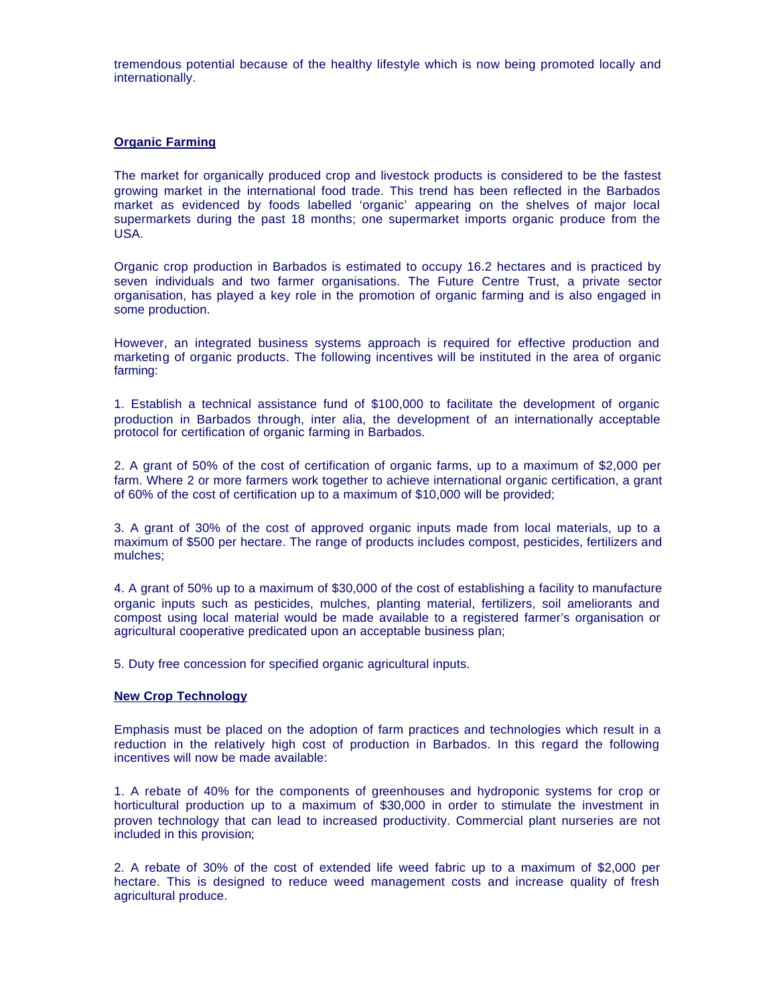tremendous potential because of the healthy lifestyle which is now being promoted locally and internationally.

# **Organic Farming**

The market for organically produced crop and livestock products is considered to be the fastest growing market in the international food trade. This trend has been reflected in the Barbados market as evidenced by foods labelled 'organic' appearing on the shelves of major local supermarkets during the past 18 months; one supermarket imports organic produce from the USA.

Organic crop production in Barbados is estimated to occupy 16.2 hectares and is practiced by seven individuals and two farmer organisations. The Future Centre Trust, a private sector organisation, has played a key role in the promotion of organic farming and is also engaged in some production.

However, an integrated business systems approach is required for effective production and marketing of organic products. The following incentives will be instituted in the area of organic farming:

1. Establish a technical assistance fund of \$100,000 to facilitate the development of organic production in Barbados through, inter alia, the development of an internationally acceptable protocol for certification of organic farming in Barbados.

2. A grant of 50% of the cost of certification of organic farms, up to a maximum of \$2,000 per farm. Where 2 or more farmers work together to achieve international organic certification, a grant of 60% of the cost of certification up to a maximum of \$10,000 will be provided;

3. A grant of 30% of the cost of approved organic inputs made from local materials, up to a maximum of \$500 per hectare. The range of products includes compost, pesticides, fertilizers and mulches;

4. A grant of 50% up to a maximum of \$30,000 of the cost of establishing a facility to manufacture organic inputs such as pesticides, mulches, planting material, fertilizers, soil ameliorants and compost using local material would be made available to a registered farmer's organisation or agricultural cooperative predicated upon an acceptable business plan;

5. Duty free concession for specified organic agricultural inputs.

### **New Crop Technology**

Emphasis must be placed on the adoption of farm practices and technologies which result in a reduction in the relatively high cost of production in Barbados. In this regard the following incentives will now be made available:

1. A rebate of 40% for the components of greenhouses and hydroponic systems for crop or horticultural production up to a maximum of \$30,000 in order to stimulate the investment in proven technology that can lead to increased productivity. Commercial plant nurseries are not included in this provision;

2. A rebate of 30% of the cost of extended life weed fabric up to a maximum of \$2,000 per hectare. This is designed to reduce weed management costs and increase quality of fresh agricultural produce.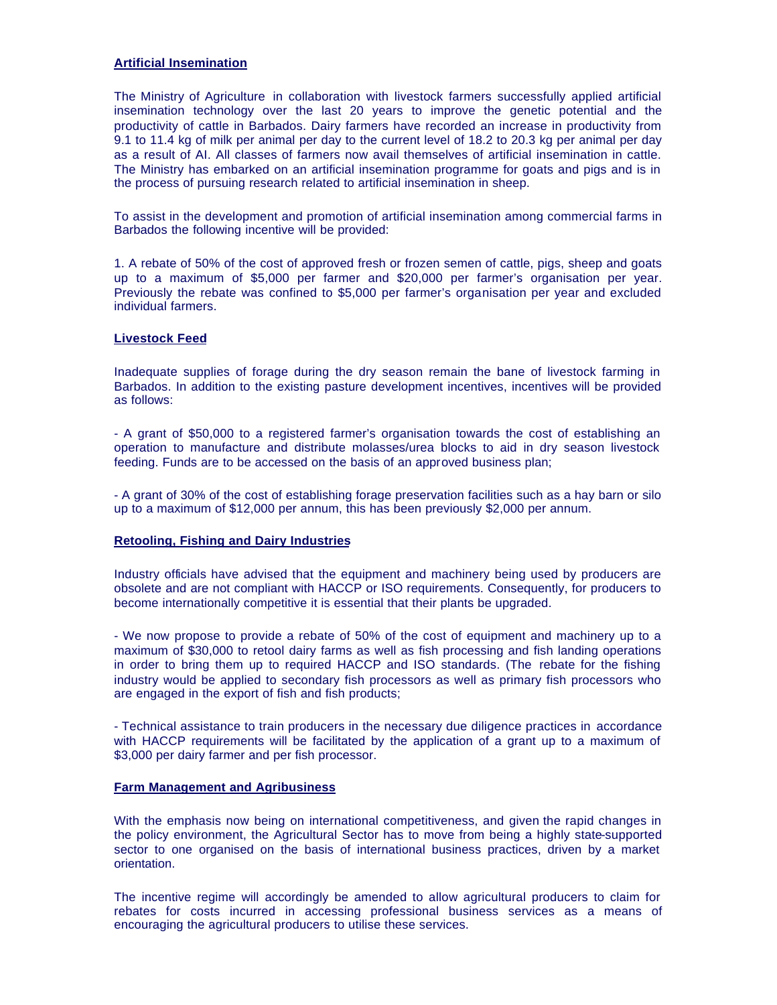# **Artificial Insemination**

The Ministry of Agriculture in collaboration with livestock farmers successfully applied artificial insemination technology over the last 20 years to improve the genetic potential and the productivity of cattle in Barbados. Dairy farmers have recorded an increase in productivity from 9.1 to 11.4 kg of milk per animal per day to the current level of 18.2 to 20.3 kg per animal per day as a result of AI. All classes of farmers now avail themselves of artificial insemination in cattle. The Ministry has embarked on an artificial insemination programme for goats and pigs and is in the process of pursuing research related to artificial insemination in sheep.

To assist in the development and promotion of artificial insemination among commercial farms in Barbados the following incentive will be provided:

1. A rebate of 50% of the cost of approved fresh or frozen semen of cattle, pigs, sheep and goats up to a maximum of \$5,000 per farmer and \$20,000 per farmer's organisation per year. Previously the rebate was confined to \$5,000 per farmer's organisation per year and excluded individual farmers.

# **Livestock Feed**

Inadequate supplies of forage during the dry season remain the bane of livestock farming in Barbados. In addition to the existing pasture development incentives, incentives will be provided as follows:

- A grant of \$50,000 to a registered farmer's organisation towards the cost of establishing an operation to manufacture and distribute molasses/urea blocks to aid in dry season livestock feeding. Funds are to be accessed on the basis of an approved business plan;

- A grant of 30% of the cost of establishing forage preservation facilities such as a hay barn or silo up to a maximum of \$12,000 per annum, this has been previously \$2,000 per annum.

### **Retooling, Fishing and Dairy Industries**

Industry officials have advised that the equipment and machinery being used by producers are obsolete and are not compliant with HACCP or ISO requirements. Consequently, for producers to become internationally competitive it is essential that their plants be upgraded.

- We now propose to provide a rebate of 50% of the cost of equipment and machinery up to a maximum of \$30,000 to retool dairy farms as well as fish processing and fish landing operations in order to bring them up to required HACCP and ISO standards. (The rebate for the fishing industry would be applied to secondary fish processors as well as primary fish processors who are engaged in the export of fish and fish products;

- Technical assistance to train producers in the necessary due diligence practices in accordance with HACCP requirements will be facilitated by the application of a grant up to a maximum of \$3,000 per dairy farmer and per fish processor.

# **Farm Management and Agribusiness**

With the emphasis now being on international competitiveness, and given the rapid changes in the policy environment, the Agricultural Sector has to move from being a highly state-supported sector to one organised on the basis of international business practices, driven by a market orientation.

The incentive regime will accordingly be amended to allow agricultural producers to claim for rebates for costs incurred in accessing professional business services as a means of encouraging the agricultural producers to utilise these services.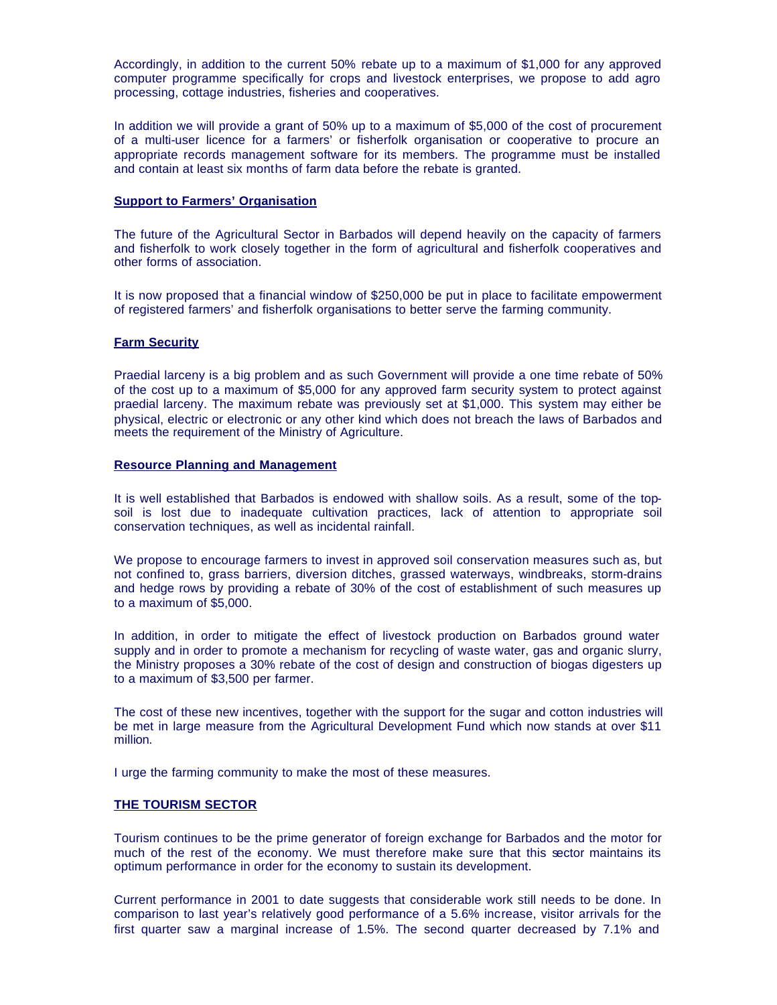Accordingly, in addition to the current 50% rebate up to a maximum of \$1,000 for any approved computer programme specifically for crops and livestock enterprises, we propose to add agro processing, cottage industries, fisheries and cooperatives.

In addition we will provide a grant of 50% up to a maximum of \$5,000 of the cost of procurement of a multi-user licence for a farmers' or fisherfolk organisation or cooperative to procure an appropriate records management software for its members. The programme must be installed and contain at least six months of farm data before the rebate is granted.

# **Support to Farmers' Organisation**

The future of the Agricultural Sector in Barbados will depend heavily on the capacity of farmers and fisherfolk to work closely together in the form of agricultural and fisherfolk cooperatives and other forms of association.

It is now proposed that a financial window of \$250,000 be put in place to facilitate empowerment of registered farmers' and fisherfolk organisations to better serve the farming community.

# **Farm Security**

Praedial larceny is a big problem and as such Government will provide a one time rebate of 50% of the cost up to a maximum of \$5,000 for any approved farm security system to protect against praedial larceny. The maximum rebate was previously set at \$1,000. This system may either be physical, electric or electronic or any other kind which does not breach the laws of Barbados and meets the requirement of the Ministry of Agriculture.

### **Resource Planning and Management**

It is well established that Barbados is endowed with shallow soils. As a result, some of the topsoil is lost due to inadequate cultivation practices, lack of attention to appropriate soil conservation techniques, as well as incidental rainfall.

We propose to encourage farmers to invest in approved soil conservation measures such as, but not confined to, grass barriers, diversion ditches, grassed waterways, windbreaks, storm-drains and hedge rows by providing a rebate of 30% of the cost of establishment of such measures up to a maximum of \$5,000.

In addition, in order to mitigate the effect of livestock production on Barbados ground water supply and in order to promote a mechanism for recycling of waste water, gas and organic slurry, the Ministry proposes a 30% rebate of the cost of design and construction of biogas digesters up to a maximum of \$3,500 per farmer.

The cost of these new incentives, together with the support for the sugar and cotton industries will be met in large measure from the Agricultural Development Fund which now stands at over \$11 million.

I urge the farming community to make the most of these measures.

# **THE TOURISM SECTOR**

Tourism continues to be the prime generator of foreign exchange for Barbados and the motor for much of the rest of the economy. We must therefore make sure that this sector maintains its optimum performance in order for the economy to sustain its development.

Current performance in 2001 to date suggests that considerable work still needs to be done. In comparison to last year's relatively good performance of a 5.6% increase, visitor arrivals for the first quarter saw a marginal increase of 1.5%. The second quarter decreased by 7.1% and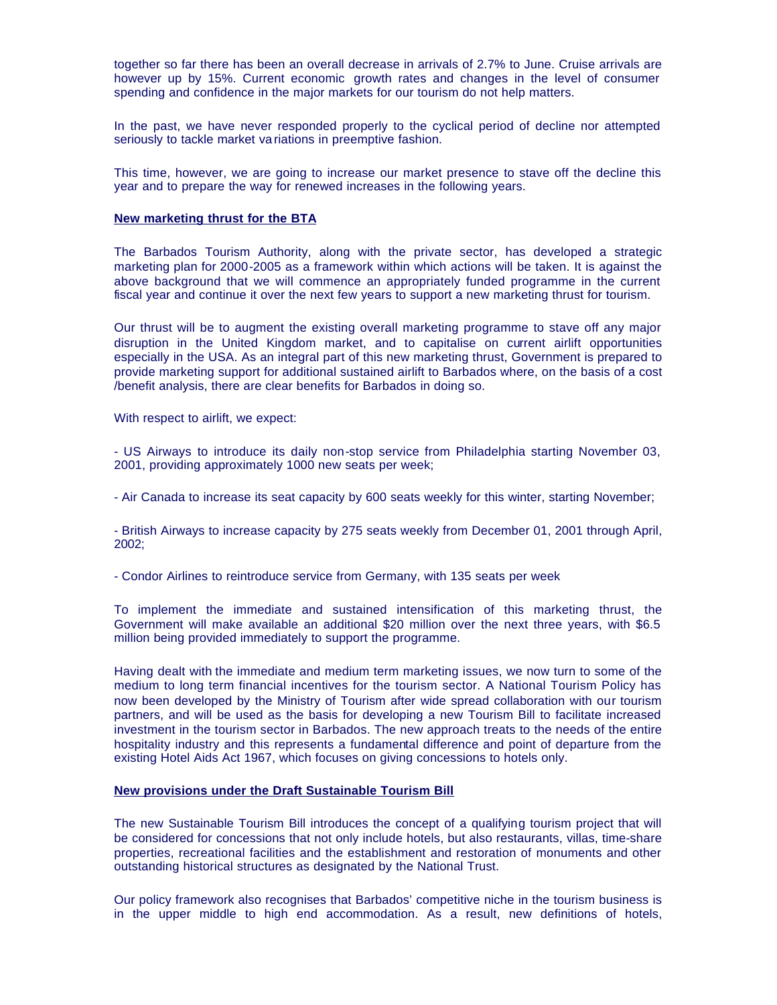together so far there has been an overall decrease in arrivals of 2.7% to June. Cruise arrivals are however up by 15%. Current economic growth rates and changes in the level of consumer spending and confidence in the major markets for our tourism do not help matters.

In the past, we have never responded properly to the cyclical period of decline nor attempted seriously to tackle market va riations in preemptive fashion.

This time, however, we are going to increase our market presence to stave off the decline this year and to prepare the way for renewed increases in the following years.

# **New marketing thrust for the BTA**

The Barbados Tourism Authority, along with the private sector, has developed a strategic marketing plan for 2000-2005 as a framework within which actions will be taken. It is against the above background that we will commence an appropriately funded programme in the current fiscal year and continue it over the next few years to support a new marketing thrust for tourism.

Our thrust will be to augment the existing overall marketing programme to stave off any major disruption in the United Kingdom market, and to capitalise on current airlift opportunities especially in the USA. As an integral part of this new marketing thrust, Government is prepared to provide marketing support for additional sustained airlift to Barbados where, on the basis of a cost /benefit analysis, there are clear benefits for Barbados in doing so.

With respect to airlift, we expect:

- US Airways to introduce its daily non-stop service from Philadelphia starting November 03, 2001, providing approximately 1000 new seats per week;

- Air Canada to increase its seat capacity by 600 seats weekly for this winter, starting November;

- British Airways to increase capacity by 275 seats weekly from December 01, 2001 through April, 2002;

- Condor Airlines to reintroduce service from Germany, with 135 seats per week

To implement the immediate and sustained intensification of this marketing thrust, the Government will make available an additional \$20 million over the next three years, with \$6.5 million being provided immediately to support the programme.

Having dealt with the immediate and medium term marketing issues, we now turn to some of the medium to long term financial incentives for the tourism sector. A National Tourism Policy has now been developed by the Ministry of Tourism after wide spread collaboration with our tourism partners, and will be used as the basis for developing a new Tourism Bill to facilitate increased investment in the tourism sector in Barbados. The new approach treats to the needs of the entire hospitality industry and this represents a fundamental difference and point of departure from the existing Hotel Aids Act 1967, which focuses on giving concessions to hotels only.

### **New provisions under the Draft Sustainable Tourism Bill**

The new Sustainable Tourism Bill introduces the concept of a qualifying tourism project that will be considered for concessions that not only include hotels, but also restaurants, villas, time-share properties, recreational facilities and the establishment and restoration of monuments and other outstanding historical structures as designated by the National Trust.

Our policy framework also recognises that Barbados' competitive niche in the tourism business is in the upper middle to high end accommodation. As a result, new definitions of hotels,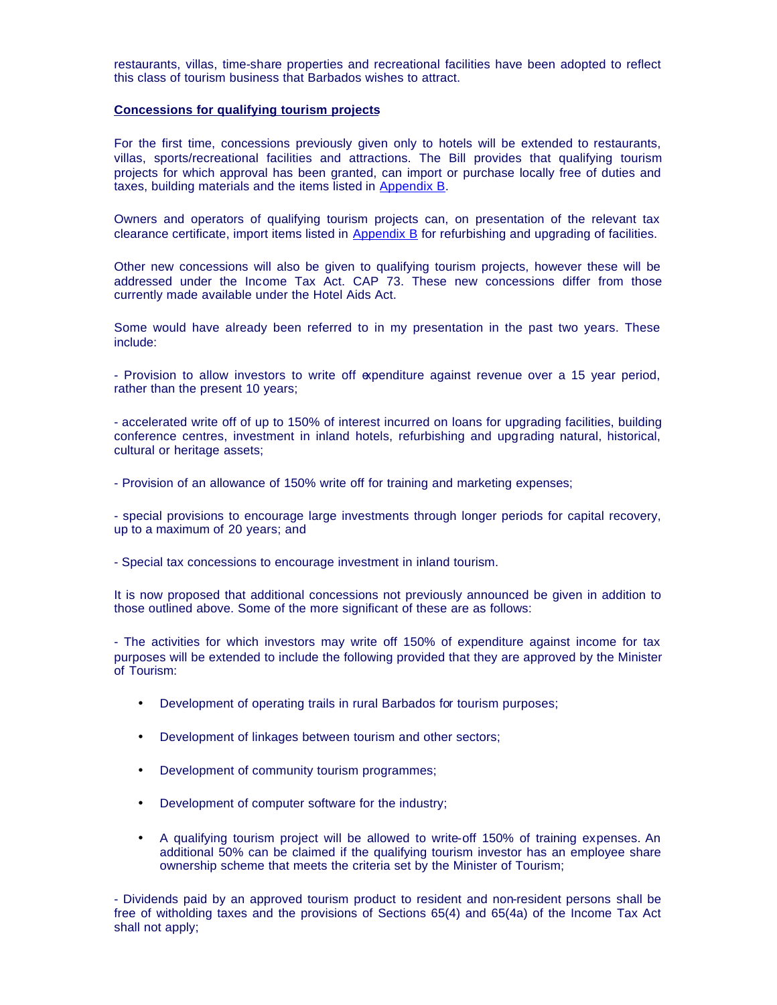restaurants, villas, time-share properties and recreational facilities have been adopted to reflect this class of tourism business that Barbados wishes to attract.

#### **Concessions for qualifying tourism projects**

For the first time, concessions previously given only to hotels will be extended to restaurants, villas, sports/recreational facilities and attractions. The Bill provides that qualifying tourism projects for which approval has been granted, can import or purchase locally free of duties and taxes, building materials and the items listed in Appendix B.

Owners and operators of qualifying tourism projects can, on presentation of the relevant tax clearance certificate, import items listed in Appendix B for refurbishing and upgrading of facilities.

Other new concessions will also be given to qualifying tourism projects, however these will be addressed under the Income Tax Act. CAP 73. These new concessions differ from those currently made available under the Hotel Aids Act.

Some would have already been referred to in my presentation in the past two years. These include:

- Provision to allow investors to write off expenditure against revenue over a 15 year period, rather than the present 10 years;

- accelerated write off of up to 150% of interest incurred on loans for upgrading facilities, building conference centres, investment in inland hotels, refurbishing and upgrading natural, historical, cultural or heritage assets;

- Provision of an allowance of 150% write off for training and marketing expenses;

- special provisions to encourage large investments through longer periods for capital recovery, up to a maximum of 20 years; and

- Special tax concessions to encourage investment in inland tourism.

It is now proposed that additional concessions not previously announced be given in addition to those outlined above. Some of the more significant of these are as follows:

- The activities for which investors may write off 150% of expenditure against income for tax purposes will be extended to include the following provided that they are approved by the Minister of Tourism:

- Development of operating trails in rural Barbados for tourism purposes;
- Development of linkages between tourism and other sectors;
- Development of community tourism programmes;
- Development of computer software for the industry;
- A qualifying tourism project will be allowed to write-off 150% of training expenses. An additional 50% can be claimed if the qualifying tourism investor has an employee share ownership scheme that meets the criteria set by the Minister of Tourism;

- Dividends paid by an approved tourism product to resident and non-resident persons shall be free of witholding taxes and the provisions of Sections 65(4) and 65(4a) of the Income Tax Act shall not apply;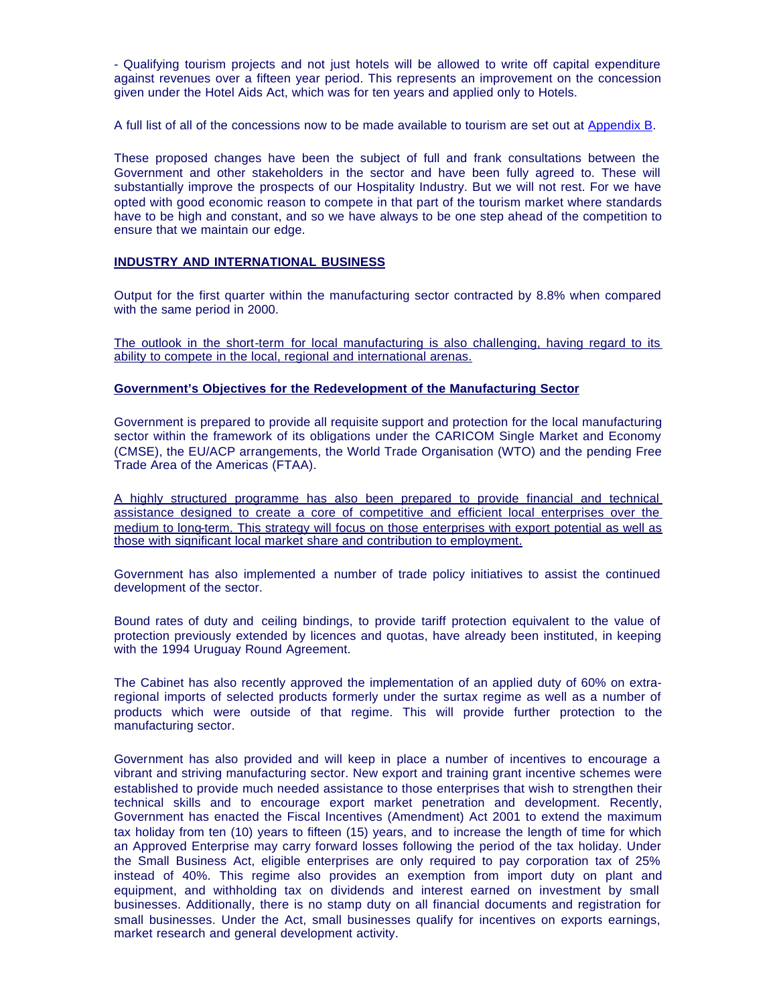- Qualifying tourism projects and not just hotels will be allowed to write off capital expenditure against revenues over a fifteen year period. This represents an improvement on the concession given under the Hotel Aids Act, which was for ten years and applied only to Hotels.

A full list of all of the concessions now to be made available to tourism are set out at Appendix B.

These proposed changes have been the subject of full and frank consultations between the Government and other stakeholders in the sector and have been fully agreed to. These will substantially improve the prospects of our Hospitality Industry. But we will not rest. For we have opted with good economic reason to compete in that part of the tourism market where standards have to be high and constant, and so we have always to be one step ahead of the competition to ensure that we maintain our edge.

# **INDUSTRY AND INTERNATIONAL BUSINESS**

Output for the first quarter within the manufacturing sector contracted by 8.8% when compared with the same period in 2000.

The outlook in the short-term for local manufacturing is also challenging, having regard to its ability to compete in the local, regional and international arenas.

#### **Government's Objectives for the Redevelopment of the Manufacturing Sector**

Government is prepared to provide all requisite support and protection for the local manufacturing sector within the framework of its obligations under the CARICOM Single Market and Economy (CMSE), the EU/ACP arrangements, the World Trade Organisation (WTO) and the pending Free Trade Area of the Americas (FTAA).

A highly structured programme has also been prepared to provide financial and technical assistance designed to create a core of competitive and efficient local enterprises over the medium to long-term. This strategy will focus on those enterprises with export potential as well as those with significant local market share and contribution to employment.

Government has also implemented a number of trade policy initiatives to assist the continued development of the sector.

Bound rates of duty and ceiling bindings, to provide tariff protection equivalent to the value of protection previously extended by licences and quotas, have already been instituted, in keeping with the 1994 Uruguay Round Agreement.

The Cabinet has also recently approved the implementation of an applied duty of 60% on extraregional imports of selected products formerly under the surtax regime as well as a number of products which were outside of that regime. This will provide further protection to the manufacturing sector.

Government has also provided and will keep in place a number of incentives to encourage a vibrant and striving manufacturing sector. New export and training grant incentive schemes were established to provide much needed assistance to those enterprises that wish to strengthen their technical skills and to encourage export market penetration and development. Recently, Government has enacted the Fiscal Incentives (Amendment) Act 2001 to extend the maximum tax holiday from ten (10) years to fifteen (15) years, and to increase the length of time for which an Approved Enterprise may carry forward losses following the period of the tax holiday. Under the Small Business Act, eligible enterprises are only required to pay corporation tax of 25% instead of 40%. This regime also provides an exemption from import duty on plant and equipment, and withholding tax on dividends and interest earned on investment by small businesses. Additionally, there is no stamp duty on all financial documents and registration for small businesses. Under the Act, small businesses qualify for incentives on exports earnings, market research and general development activity.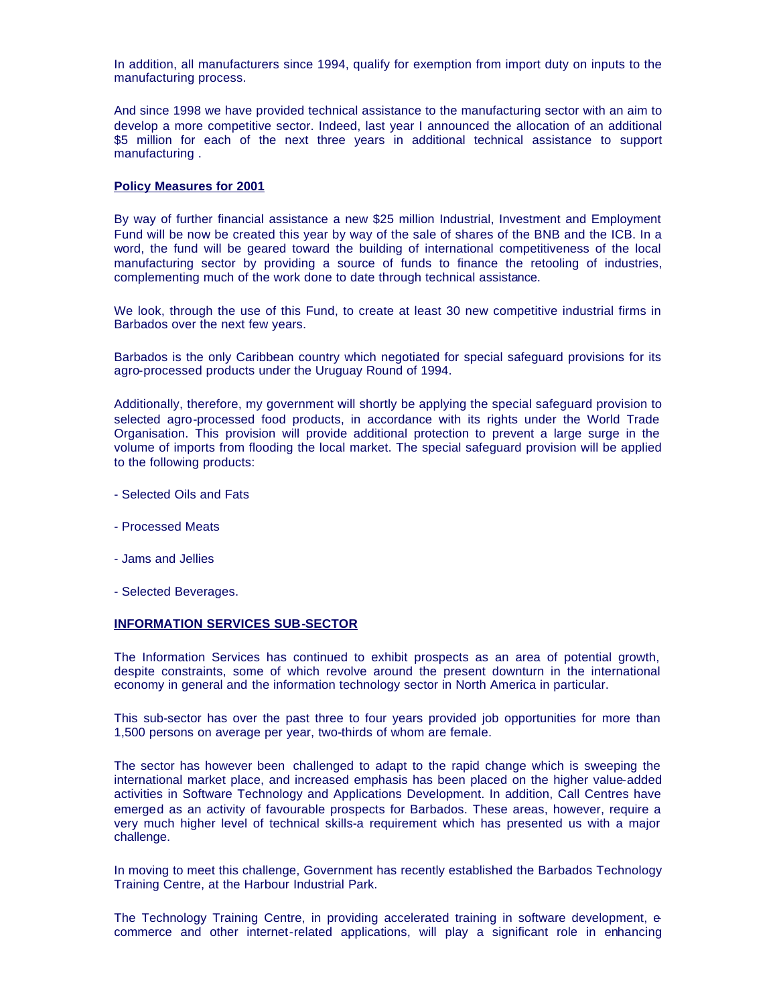In addition, all manufacturers since 1994, qualify for exemption from import duty on inputs to the manufacturing process.

And since 1998 we have provided technical assistance to the manufacturing sector with an aim to develop a more competitive sector. Indeed, last year I announced the allocation of an additional \$5 million for each of the next three years in additional technical assistance to support manufacturing .

### **Policy Measures for 2001**

By way of further financial assistance a new \$25 million Industrial, Investment and Employment Fund will be now be created this year by way of the sale of shares of the BNB and the ICB. In a word, the fund will be geared toward the building of international competitiveness of the local manufacturing sector by providing a source of funds to finance the retooling of industries, complementing much of the work done to date through technical assistance.

We look, through the use of this Fund, to create at least 30 new competitive industrial firms in Barbados over the next few years.

Barbados is the only Caribbean country which negotiated for special safeguard provisions for its agro-processed products under the Uruguay Round of 1994.

Additionally, therefore, my government will shortly be applying the special safeguard provision to selected agro-processed food products, in accordance with its rights under the World Trade Organisation. This provision will provide additional protection to prevent a large surge in the volume of imports from flooding the local market. The special safeguard provision will be applied to the following products:

- Selected Oils and Fats
- Processed Meats
- Jams and Jellies
- Selected Beverages.

### **INFORMATION SERVICES SUB-SECTOR**

The Information Services has continued to exhibit prospects as an area of potential growth, despite constraints, some of which revolve around the present downturn in the international economy in general and the information technology sector in North America in particular.

This sub-sector has over the past three to four years provided job opportunities for more than 1,500 persons on average per year, two-thirds of whom are female.

The sector has however been challenged to adapt to the rapid change which is sweeping the international market place, and increased emphasis has been placed on the higher value-added activities in Software Technology and Applications Development. In addition, Call Centres have emerged as an activity of favourable prospects for Barbados. These areas, however, require a very much higher level of technical skills-a requirement which has presented us with a major challenge.

In moving to meet this challenge, Government has recently established the Barbados Technology Training Centre, at the Harbour Industrial Park.

The Technology Training Centre, in providing accelerated training in software development, ecommerce and other internet-related applications, will play a significant role in enhancing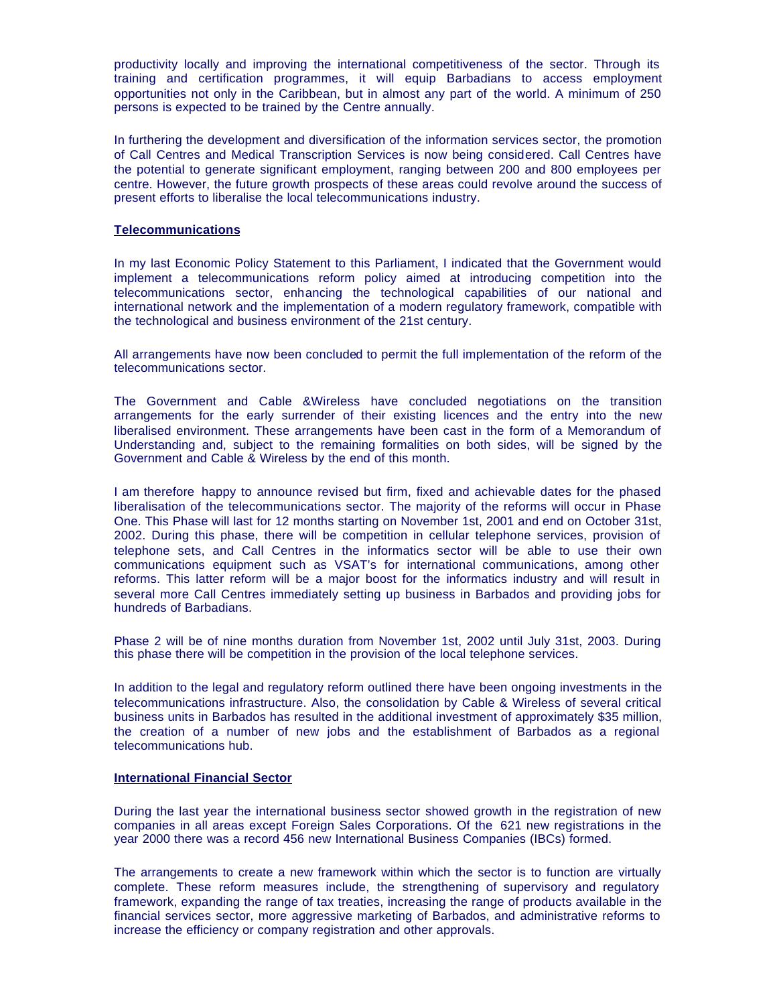productivity locally and improving the international competitiveness of the sector. Through its training and certification programmes, it will equip Barbadians to access employment opportunities not only in the Caribbean, but in almost any part of the world. A minimum of 250 persons is expected to be trained by the Centre annually.

In furthering the development and diversification of the information services sector, the promotion of Call Centres and Medical Transcription Services is now being considered. Call Centres have the potential to generate significant employment, ranging between 200 and 800 employees per centre. However, the future growth prospects of these areas could revolve around the success of present efforts to liberalise the local telecommunications industry.

# **Telecommunications**

In my last Economic Policy Statement to this Parliament, I indicated that the Government would implement a telecommunications reform policy aimed at introducing competition into the telecommunications sector, enhancing the technological capabilities of our national and international network and the implementation of a modern regulatory framework, compatible with the technological and business environment of the 21st century.

All arrangements have now been concluded to permit the full implementation of the reform of the telecommunications sector.

The Government and Cable &Wireless have concluded negotiations on the transition arrangements for the early surrender of their existing licences and the entry into the new liberalised environment. These arrangements have been cast in the form of a Memorandum of Understanding and, subject to the remaining formalities on both sides, will be signed by the Government and Cable & Wireless by the end of this month.

I am therefore happy to announce revised but firm, fixed and achievable dates for the phased liberalisation of the telecommunications sector. The majority of the reforms will occur in Phase One. This Phase will last for 12 months starting on November 1st, 2001 and end on October 31st, 2002. During this phase, there will be competition in cellular telephone services, provision of telephone sets, and Call Centres in the informatics sector will be able to use their own communications equipment such as VSAT's for international communications, among other reforms. This latter reform will be a major boost for the informatics industry and will result in several more Call Centres immediately setting up business in Barbados and providing jobs for hundreds of Barbadians.

Phase 2 will be of nine months duration from November 1st, 2002 until July 31st, 2003. During this phase there will be competition in the provision of the local telephone services.

In addition to the legal and regulatory reform outlined there have been ongoing investments in the telecommunications infrastructure. Also, the consolidation by Cable & Wireless of several critical business units in Barbados has resulted in the additional investment of approximately \$35 million, the creation of a number of new jobs and the establishment of Barbados as a regional telecommunications hub.

### **International Financial Sector**

During the last year the international business sector showed growth in the registration of new companies in all areas except Foreign Sales Corporations. Of the 621 new registrations in the year 2000 there was a record 456 new International Business Companies (IBCs) formed.

The arrangements to create a new framework within which the sector is to function are virtually complete. These reform measures include, the strengthening of supervisory and regulatory framework, expanding the range of tax treaties, increasing the range of products available in the financial services sector, more aggressive marketing of Barbados, and administrative reforms to increase the efficiency or company registration and other approvals.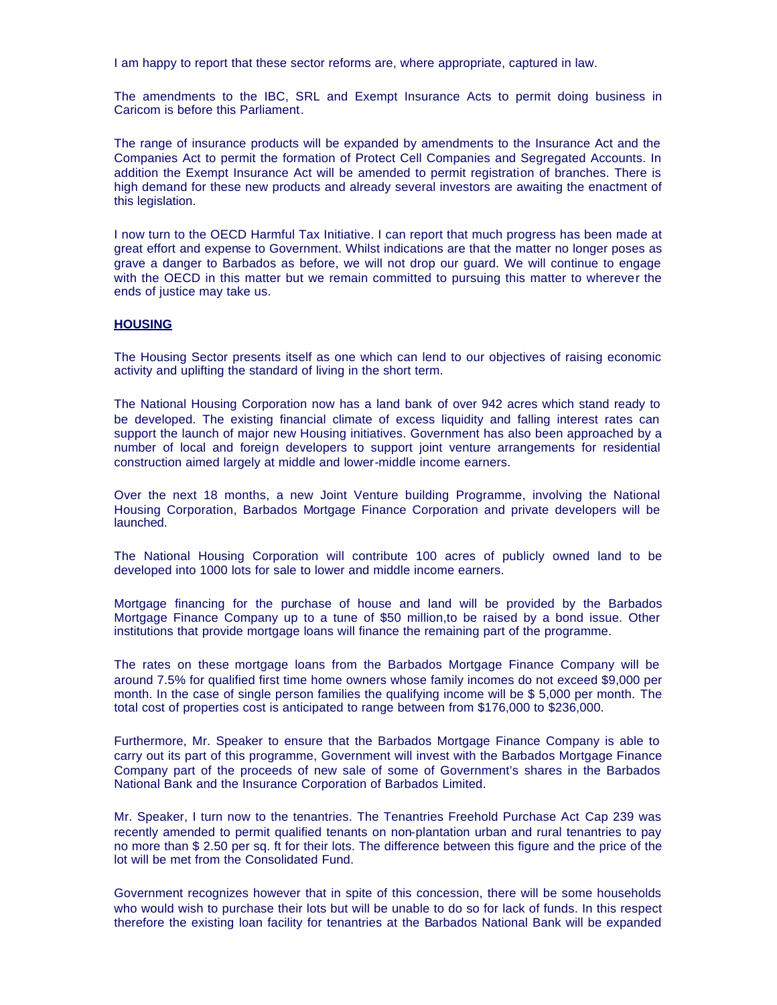I am happy to report that these sector reforms are, where appropriate, captured in law.

The amendments to the IBC, SRL and Exempt Insurance Acts to permit doing business in Caricom is before this Parliament.

The range of insurance products will be expanded by amendments to the Insurance Act and the Companies Act to permit the formation of Protect Cell Companies and Segregated Accounts. In addition the Exempt Insurance Act will be amended to permit registration of branches. There is high demand for these new products and already several investors are awaiting the enactment of this legislation.

I now turn to the OECD Harmful Tax Initiative. I can report that much progress has been made at great effort and expense to Government. Whilst indications are that the matter no longer poses as grave a danger to Barbados as before, we will not drop our guard. We will continue to engage with the OECD in this matter but we remain committed to pursuing this matter to wherever the ends of justice may take us.

### **HOUSING**

The Housing Sector presents itself as one which can lend to our objectives of raising economic activity and uplifting the standard of living in the short term.

The National Housing Corporation now has a land bank of over 942 acres which stand ready to be developed. The existing financial climate of excess liquidity and falling interest rates can support the launch of major new Housing initiatives. Government has also been approached by a number of local and foreign developers to support joint venture arrangements for residential construction aimed largely at middle and lower-middle income earners.

Over the next 18 months, a new Joint Venture building Programme, involving the National Housing Corporation, Barbados Mortgage Finance Corporation and private developers will be launched.

The National Housing Corporation will contribute 100 acres of publicly owned land to be developed into 1000 lots for sale to lower and middle income earners.

Mortgage financing for the purchase of house and land will be provided by the Barbados Mortgage Finance Company up to a tune of \$50 million,to be raised by a bond issue. Other institutions that provide mortgage loans will finance the remaining part of the programme.

The rates on these mortgage loans from the Barbados Mortgage Finance Company will be around 7.5% for qualified first time home owners whose family incomes do not exceed \$9,000 per month. In the case of single person families the qualifying income will be \$ 5,000 per month. The total cost of properties cost is anticipated to range between from \$176,000 to \$236,000.

Furthermore, Mr. Speaker to ensure that the Barbados Mortgage Finance Company is able to carry out its part of this programme, Government will invest with the Barbados Mortgage Finance Company part of the proceeds of new sale of some of Government's shares in the Barbados National Bank and the Insurance Corporation of Barbados Limited.

Mr. Speaker, I turn now to the tenantries. The Tenantries Freehold Purchase Act Cap 239 was recently amended to permit qualified tenants on non-plantation urban and rural tenantries to pay no more than \$ 2.50 per sq. ft for their lots. The difference between this figure and the price of the lot will be met from the Consolidated Fund.

Government recognizes however that in spite of this concession, there will be some households who would wish to purchase their lots but will be unable to do so for lack of funds. In this respect therefore the existing loan facility for tenantries at the Barbados National Bank will be expanded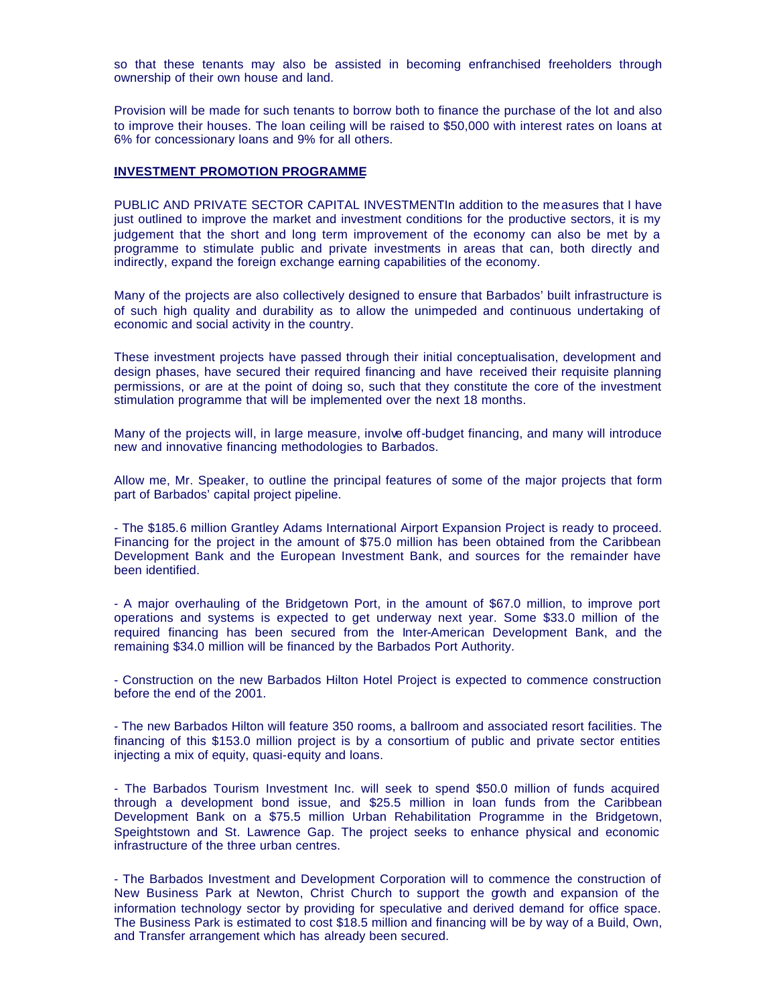so that these tenants may also be assisted in becoming enfranchised freeholders through ownership of their own house and land.

Provision will be made for such tenants to borrow both to finance the purchase of the lot and also to improve their houses. The loan ceiling will be raised to \$50,000 with interest rates on loans at 6% for concessionary loans and 9% for all others.

### **INVESTMENT PROMOTION PROGRAMME**

PUBLIC AND PRIVATE SECTOR CAPITAL INVESTMENTIn addition to the measures that I have just outlined to improve the market and investment conditions for the productive sectors, it is my judgement that the short and long term improvement of the economy can also be met by a programme to stimulate public and private investments in areas that can, both directly and indirectly, expand the foreign exchange earning capabilities of the economy.

Many of the projects are also collectively designed to ensure that Barbados' built infrastructure is of such high quality and durability as to allow the unimpeded and continuous undertaking of economic and social activity in the country.

These investment projects have passed through their initial conceptualisation, development and design phases, have secured their required financing and have received their requisite planning permissions, or are at the point of doing so, such that they constitute the core of the investment stimulation programme that will be implemented over the next 18 months.

Many of the projects will, in large measure, involve off-budget financing, and many will introduce new and innovative financing methodologies to Barbados.

Allow me, Mr. Speaker, to outline the principal features of some of the major projects that form part of Barbados' capital project pipeline.

- The \$185.6 million Grantley Adams International Airport Expansion Project is ready to proceed. Financing for the project in the amount of \$75.0 million has been obtained from the Caribbean Development Bank and the European Investment Bank, and sources for the remainder have been identified.

- A major overhauling of the Bridgetown Port, in the amount of \$67.0 million, to improve port operations and systems is expected to get underway next year. Some \$33.0 million of the required financing has been secured from the Inter-American Development Bank, and the remaining \$34.0 million will be financed by the Barbados Port Authority.

- Construction on the new Barbados Hilton Hotel Project is expected to commence construction before the end of the 2001.

- The new Barbados Hilton will feature 350 rooms, a ballroom and associated resort facilities. The financing of this \$153.0 million project is by a consortium of public and private sector entities injecting a mix of equity, quasi-equity and loans.

- The Barbados Tourism Investment Inc. will seek to spend \$50.0 million of funds acquired through a development bond issue, and \$25.5 million in loan funds from the Caribbean Development Bank on a \$75.5 million Urban Rehabilitation Programme in the Bridgetown, Speightstown and St. Lawrence Gap. The project seeks to enhance physical and economic infrastructure of the three urban centres.

- The Barbados Investment and Development Corporation will to commence the construction of New Business Park at Newton, Christ Church to support the growth and expansion of the information technology sector by providing for speculative and derived demand for office space. The Business Park is estimated to cost \$18.5 million and financing will be by way of a Build, Own, and Transfer arrangement which has already been secured.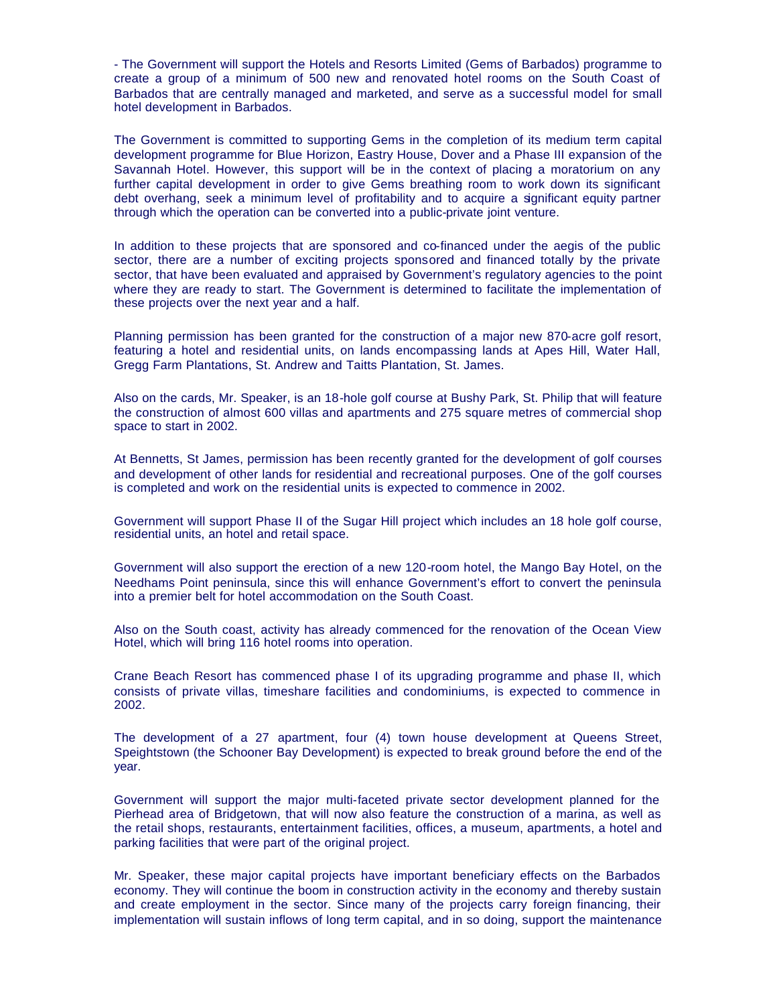- The Government will support the Hotels and Resorts Limited (Gems of Barbados) programme to create a group of a minimum of 500 new and renovated hotel rooms on the South Coast of Barbados that are centrally managed and marketed, and serve as a successful model for small hotel development in Barbados.

The Government is committed to supporting Gems in the completion of its medium term capital development programme for Blue Horizon, Eastry House, Dover and a Phase III expansion of the Savannah Hotel. However, this support will be in the context of placing a moratorium on any further capital development in order to give Gems breathing room to work down its significant debt overhang, seek a minimum level of profitability and to acquire a significant equity partner through which the operation can be converted into a public-private joint venture.

In addition to these projects that are sponsored and co-financed under the aegis of the public sector, there are a number of exciting projects sponsored and financed totally by the private sector, that have been evaluated and appraised by Government's regulatory agencies to the point where they are ready to start. The Government is determined to facilitate the implementation of these projects over the next year and a half.

Planning permission has been granted for the construction of a major new 870-acre golf resort, featuring a hotel and residential units, on lands encompassing lands at Apes Hill, Water Hall, Gregg Farm Plantations, St. Andrew and Taitts Plantation, St. James.

Also on the cards, Mr. Speaker, is an 18-hole golf course at Bushy Park, St. Philip that will feature the construction of almost 600 villas and apartments and 275 square metres of commercial shop space to start in 2002.

At Bennetts, St James, permission has been recently granted for the development of golf courses and development of other lands for residential and recreational purposes. One of the golf courses is completed and work on the residential units is expected to commence in 2002.

Government will support Phase II of the Sugar Hill project which includes an 18 hole golf course, residential units, an hotel and retail space.

Government will also support the erection of a new 120-room hotel, the Mango Bay Hotel, on the Needhams Point peninsula, since this will enhance Government's effort to convert the peninsula into a premier belt for hotel accommodation on the South Coast.

Also on the South coast, activity has already commenced for the renovation of the Ocean View Hotel, which will bring 116 hotel rooms into operation.

Crane Beach Resort has commenced phase I of its upgrading programme and phase II, which consists of private villas, timeshare facilities and condominiums, is expected to commence in 2002.

The development of a 27 apartment, four (4) town house development at Queens Street, Speightstown (the Schooner Bay Development) is expected to break ground before the end of the year.

Government will support the major multi-faceted private sector development planned for the Pierhead area of Bridgetown, that will now also feature the construction of a marina, as well as the retail shops, restaurants, entertainment facilities, offices, a museum, apartments, a hotel and parking facilities that were part of the original project.

Mr. Speaker, these major capital projects have important beneficiary effects on the Barbados economy. They will continue the boom in construction activity in the economy and thereby sustain and create employment in the sector. Since many of the projects carry foreign financing, their implementation will sustain inflows of long term capital, and in so doing, support the maintenance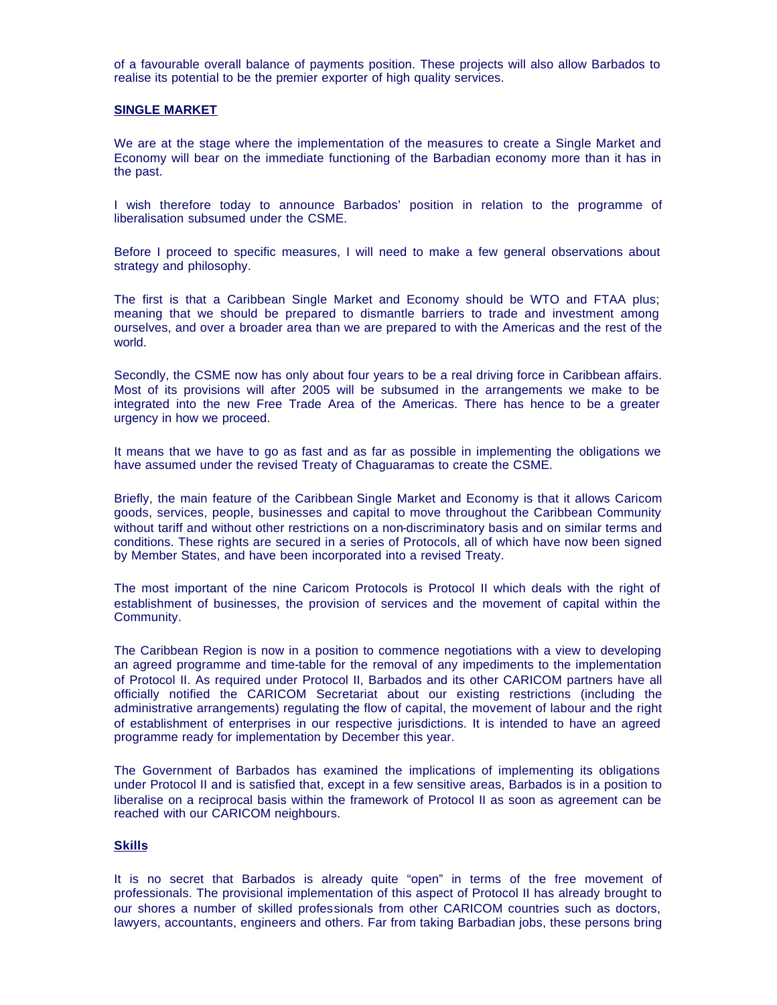of a favourable overall balance of payments position. These projects will also allow Barbados to realise its potential to be the premier exporter of high quality services.

#### **SINGLE MARKET**

We are at the stage where the implementation of the measures to create a Single Market and Economy will bear on the immediate functioning of the Barbadian economy more than it has in the past.

I wish therefore today to announce Barbados' position in relation to the programme of liberalisation subsumed under the CSME.

Before I proceed to specific measures, I will need to make a few general observations about strategy and philosophy.

The first is that a Caribbean Single Market and Economy should be WTO and FTAA plus; meaning that we should be prepared to dismantle barriers to trade and investment among ourselves, and over a broader area than we are prepared to with the Americas and the rest of the world.

Secondly, the CSME now has only about four years to be a real driving force in Caribbean affairs. Most of its provisions will after 2005 will be subsumed in the arrangements we make to be integrated into the new Free Trade Area of the Americas. There has hence to be a greater urgency in how we proceed.

It means that we have to go as fast and as far as possible in implementing the obligations we have assumed under the revised Treaty of Chaguaramas to create the CSME.

Briefly, the main feature of the Caribbean Single Market and Economy is that it allows Caricom goods, services, people, businesses and capital to move throughout the Caribbean Community without tariff and without other restrictions on a non-discriminatory basis and on similar terms and conditions. These rights are secured in a series of Protocols, all of which have now been signed by Member States, and have been incorporated into a revised Treaty.

The most important of the nine Caricom Protocols is Protocol II which deals with the right of establishment of businesses, the provision of services and the movement of capital within the Community.

The Caribbean Region is now in a position to commence negotiations with a view to developing an agreed programme and time-table for the removal of any impediments to the implementation of Protocol II. As required under Protocol II, Barbados and its other CARICOM partners have all officially notified the CARICOM Secretariat about our existing restrictions (including the administrative arrangements) regulating the flow of capital, the movement of labour and the right of establishment of enterprises in our respective jurisdictions. It is intended to have an agreed programme ready for implementation by December this year.

The Government of Barbados has examined the implications of implementing its obligations under Protocol II and is satisfied that, except in a few sensitive areas, Barbados is in a position to liberalise on a reciprocal basis within the framework of Protocol II as soon as agreement can be reached with our CARICOM neighbours.

## **Skills**

It is no secret that Barbados is already quite "open" in terms of the free movement of professionals. The provisional implementation of this aspect of Protocol II has already brought to our shores a number of skilled professionals from other CARICOM countries such as doctors, lawyers, accountants, engineers and others. Far from taking Barbadian jobs, these persons bring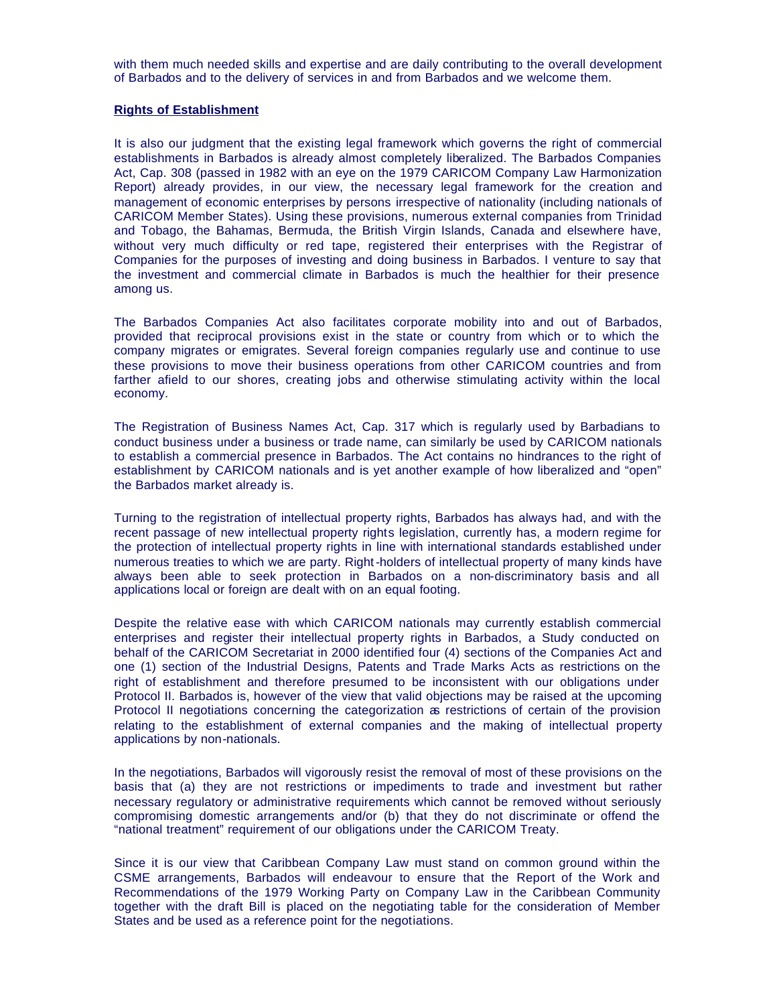with them much needed skills and expertise and are daily contributing to the overall development of Barbados and to the delivery of services in and from Barbados and we welcome them.

#### **Rights of Establishment**

It is also our judgment that the existing legal framework which governs the right of commercial establishments in Barbados is already almost completely liberalized. The Barbados Companies Act, Cap. 308 (passed in 1982 with an eye on the 1979 CARICOM Company Law Harmonization Report) already provides, in our view, the necessary legal framework for the creation and management of economic enterprises by persons irrespective of nationality (including nationals of CARICOM Member States). Using these provisions, numerous external companies from Trinidad and Tobago, the Bahamas, Bermuda, the British Virgin Islands, Canada and elsewhere have, without very much difficulty or red tape, registered their enterprises with the Registrar of Companies for the purposes of investing and doing business in Barbados. I venture to say that the investment and commercial climate in Barbados is much the healthier for their presence among us.

The Barbados Companies Act also facilitates corporate mobility into and out of Barbados, provided that reciprocal provisions exist in the state or country from which or to which the company migrates or emigrates. Several foreign companies regularly use and continue to use these provisions to move their business operations from other CARICOM countries and from farther afield to our shores, creating jobs and otherwise stimulating activity within the local economy.

The Registration of Business Names Act, Cap. 317 which is regularly used by Barbadians to conduct business under a business or trade name, can similarly be used by CARICOM nationals to establish a commercial presence in Barbados. The Act contains no hindrances to the right of establishment by CARICOM nationals and is yet another example of how liberalized and "open" the Barbados market already is.

Turning to the registration of intellectual property rights, Barbados has always had, and with the recent passage of new intellectual property rights legislation, currently has, a modern regime for the protection of intellectual property rights in line with international standards established under numerous treaties to which we are party. Right-holders of intellectual property of many kinds have always been able to seek protection in Barbados on a non-discriminatory basis and all applications local or foreign are dealt with on an equal footing.

Despite the relative ease with which CARICOM nationals may currently establish commercial enterprises and register their intellectual property rights in Barbados, a Study conducted on behalf of the CARICOM Secretariat in 2000 identified four (4) sections of the Companies Act and one (1) section of the Industrial Designs, Patents and Trade Marks Acts as restrictions on the right of establishment and therefore presumed to be inconsistent with our obligations under Protocol II. Barbados is, however of the view that valid objections may be raised at the upcoming Protocol II negotiations concerning the categorization as restrictions of certain of the provision relating to the establishment of external companies and the making of intellectual property applications by non-nationals.

In the negotiations, Barbados will vigorously resist the removal of most of these provisions on the basis that (a) they are not restrictions or impediments to trade and investment but rather necessary regulatory or administrative requirements which cannot be removed without seriously compromising domestic arrangements and/or (b) that they do not discriminate or offend the "national treatment" requirement of our obligations under the CARICOM Treaty.

Since it is our view that Caribbean Company Law must stand on common ground within the CSME arrangements, Barbados will endeavour to ensure that the Report of the Work and Recommendations of the 1979 Working Party on Company Law in the Caribbean Community together with the draft Bill is placed on the negotiating table for the consideration of Member States and be used as a reference point for the negotiations.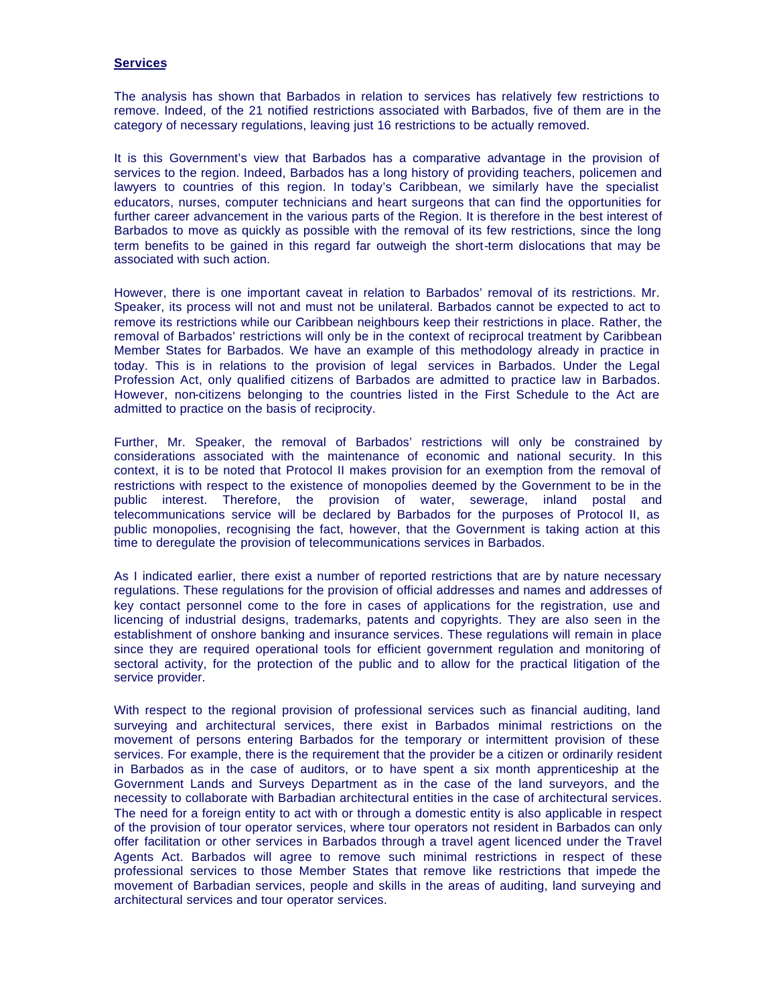## **Services**

The analysis has shown that Barbados in relation to services has relatively few restrictions to remove. Indeed, of the 21 notified restrictions associated with Barbados, five of them are in the category of necessary regulations, leaving just 16 restrictions to be actually removed.

It is this Government's view that Barbados has a comparative advantage in the provision of services to the region. Indeed, Barbados has a long history of providing teachers, policemen and lawyers to countries of this region. In today's Caribbean, we similarly have the specialist educators, nurses, computer technicians and heart surgeons that can find the opportunities for further career advancement in the various parts of the Region. It is therefore in the best interest of Barbados to move as quickly as possible with the removal of its few restrictions, since the long term benefits to be gained in this regard far outweigh the short-term dislocations that may be associated with such action.

However, there is one important caveat in relation to Barbados' removal of its restrictions. Mr. Speaker, its process will not and must not be unilateral. Barbados cannot be expected to act to remove its restrictions while our Caribbean neighbours keep their restrictions in place. Rather, the removal of Barbados' restrictions will only be in the context of reciprocal treatment by Caribbean Member States for Barbados. We have an example of this methodology already in practice in today. This is in relations to the provision of legal services in Barbados. Under the Legal Profession Act, only qualified citizens of Barbados are admitted to practice law in Barbados. However, non-citizens belonging to the countries listed in the First Schedule to the Act are admitted to practice on the basis of reciprocity.

Further, Mr. Speaker, the removal of Barbados' restrictions will only be constrained by considerations associated with the maintenance of economic and national security. In this context, it is to be noted that Protocol II makes provision for an exemption from the removal of restrictions with respect to the existence of monopolies deemed by the Government to be in the public interest. Therefore, the provision of water, sewerage, inland postal and telecommunications service will be declared by Barbados for the purposes of Protocol II, as public monopolies, recognising the fact, however, that the Government is taking action at this time to deregulate the provision of telecommunications services in Barbados.

As I indicated earlier, there exist a number of reported restrictions that are by nature necessary regulations. These regulations for the provision of official addresses and names and addresses of key contact personnel come to the fore in cases of applications for the registration, use and licencing of industrial designs, trademarks, patents and copyrights. They are also seen in the establishment of onshore banking and insurance services. These regulations will remain in place since they are required operational tools for efficient government regulation and monitoring of sectoral activity, for the protection of the public and to allow for the practical litigation of the service provider.

With respect to the regional provision of professional services such as financial auditing, land surveying and architectural services, there exist in Barbados minimal restrictions on the movement of persons entering Barbados for the temporary or intermittent provision of these services. For example, there is the requirement that the provider be a citizen or ordinarily resident in Barbados as in the case of auditors, or to have spent a six month apprenticeship at the Government Lands and Surveys Department as in the case of the land surveyors, and the necessity to collaborate with Barbadian architectural entities in the case of architectural services. The need for a foreign entity to act with or through a domestic entity is also applicable in respect of the provision of tour operator services, where tour operators not resident in Barbados can only offer facilitation or other services in Barbados through a travel agent licenced under the Travel Agents Act. Barbados will agree to remove such minimal restrictions in respect of these professional services to those Member States that remove like restrictions that impede the movement of Barbadian services, people and skills in the areas of auditing, land surveying and architectural services and tour operator services.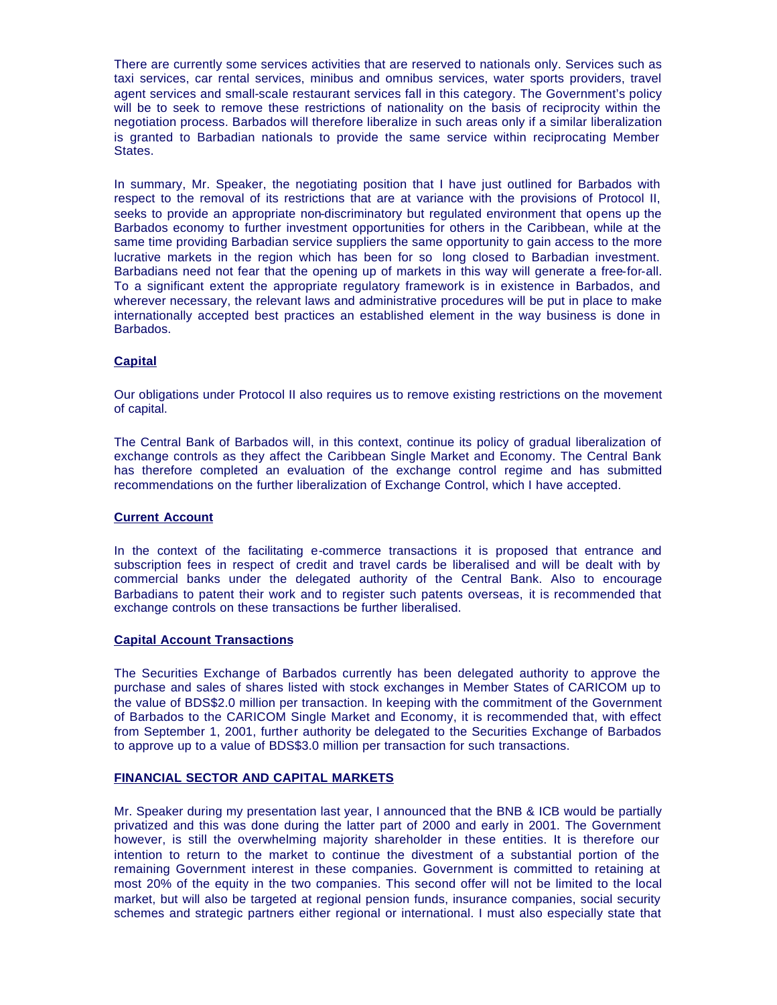There are currently some services activities that are reserved to nationals only. Services such as taxi services, car rental services, minibus and omnibus services, water sports providers, travel agent services and small-scale restaurant services fall in this category. The Government's policy will be to seek to remove these restrictions of nationality on the basis of reciprocity within the negotiation process. Barbados will therefore liberalize in such areas only if a similar liberalization is granted to Barbadian nationals to provide the same service within reciprocating Member States.

In summary, Mr. Speaker, the negotiating position that I have just outlined for Barbados with respect to the removal of its restrictions that are at variance with the provisions of Protocol II, seeks to provide an appropriate non-discriminatory but regulated environment that opens up the Barbados economy to further investment opportunities for others in the Caribbean, while at the same time providing Barbadian service suppliers the same opportunity to gain access to the more lucrative markets in the region which has been for so long closed to Barbadian investment. Barbadians need not fear that the opening up of markets in this way will generate a free-for-all. To a significant extent the appropriate regulatory framework is in existence in Barbados, and wherever necessary, the relevant laws and administrative procedures will be put in place to make internationally accepted best practices an established element in the way business is done in Barbados.

# **Capital**

Our obligations under Protocol II also requires us to remove existing restrictions on the movement of capital.

The Central Bank of Barbados will, in this context, continue its policy of gradual liberalization of exchange controls as they affect the Caribbean Single Market and Economy. The Central Bank has therefore completed an evaluation of the exchange control regime and has submitted recommendations on the further liberalization of Exchange Control, which I have accepted.

## **Current Account**

In the context of the facilitating e-commerce transactions it is proposed that entrance and subscription fees in respect of credit and travel cards be liberalised and will be dealt with by commercial banks under the delegated authority of the Central Bank. Also to encourage Barbadians to patent their work and to register such patents overseas, it is recommended that exchange controls on these transactions be further liberalised.

### **Capital Account Transactions**

The Securities Exchange of Barbados currently has been delegated authority to approve the purchase and sales of shares listed with stock exchanges in Member States of CARICOM up to the value of BDS\$2.0 million per transaction. In keeping with the commitment of the Government of Barbados to the CARICOM Single Market and Economy, it is recommended that, with effect from September 1, 2001, further authority be delegated to the Securities Exchange of Barbados to approve up to a value of BDS\$3.0 million per transaction for such transactions.

# **FINANCIAL SECTOR AND CAPITAL MARKETS**

Mr. Speaker during my presentation last year, I announced that the BNB & ICB would be partially privatized and this was done during the latter part of 2000 and early in 2001. The Government however, is still the overwhelming majority shareholder in these entities. It is therefore our intention to return to the market to continue the divestment of a substantial portion of the remaining Government interest in these companies. Government is committed to retaining at most 20% of the equity in the two companies. This second offer will not be limited to the local market, but will also be targeted at regional pension funds, insurance companies, social security schemes and strategic partners either regional or international. I must also especially state that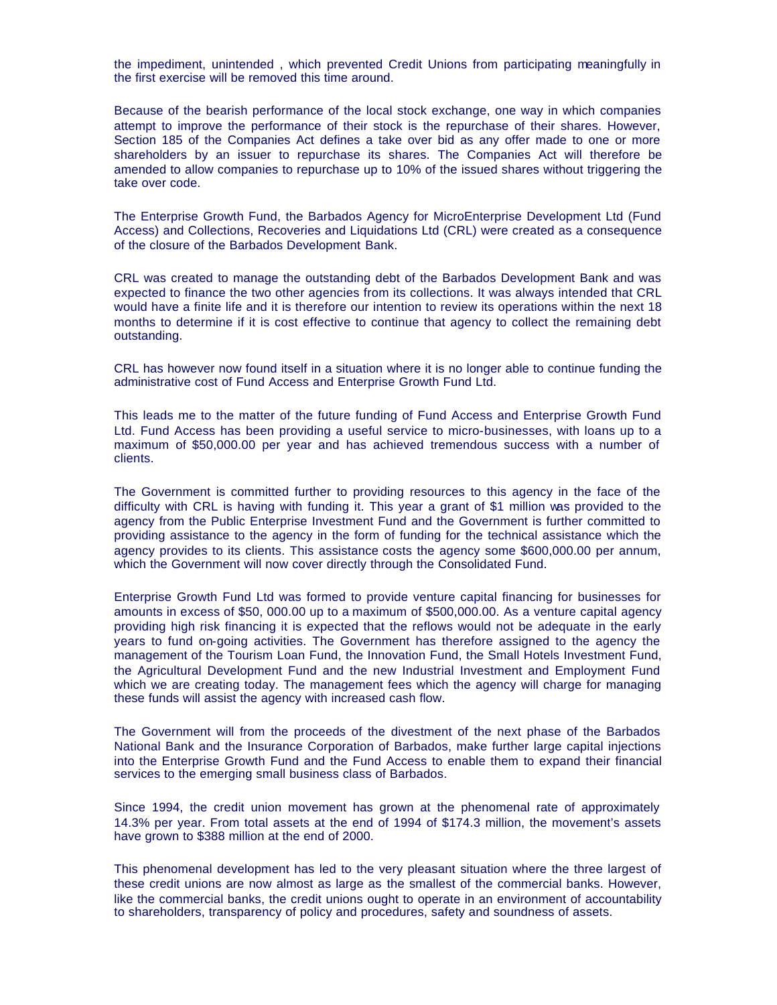the impediment, unintended , which prevented Credit Unions from participating meaningfully in the first exercise will be removed this time around.

Because of the bearish performance of the local stock exchange, one way in which companies attempt to improve the performance of their stock is the repurchase of their shares. However, Section 185 of the Companies Act defines a take over bid as any offer made to one or more shareholders by an issuer to repurchase its shares. The Companies Act will therefore be amended to allow companies to repurchase up to 10% of the issued shares without triggering the take over code.

The Enterprise Growth Fund, the Barbados Agency for MicroEnterprise Development Ltd (Fund Access) and Collections, Recoveries and Liquidations Ltd (CRL) were created as a consequence of the closure of the Barbados Development Bank.

CRL was created to manage the outstanding debt of the Barbados Development Bank and was expected to finance the two other agencies from its collections. It was always intended that CRL would have a finite life and it is therefore our intention to review its operations within the next 18 months to determine if it is cost effective to continue that agency to collect the remaining debt outstanding.

CRL has however now found itself in a situation where it is no longer able to continue funding the administrative cost of Fund Access and Enterprise Growth Fund Ltd.

This leads me to the matter of the future funding of Fund Access and Enterprise Growth Fund Ltd. Fund Access has been providing a useful service to micro-businesses, with loans up to a maximum of \$50,000.00 per year and has achieved tremendous success with a number of clients.

The Government is committed further to providing resources to this agency in the face of the difficulty with CRL is having with funding it. This year a grant of \$1 million was provided to the agency from the Public Enterprise Investment Fund and the Government is further committed to providing assistance to the agency in the form of funding for the technical assistance which the agency provides to its clients. This assistance costs the agency some \$600,000.00 per annum, which the Government will now cover directly through the Consolidated Fund.

Enterprise Growth Fund Ltd was formed to provide venture capital financing for businesses for amounts in excess of \$50, 000.00 up to a maximum of \$500,000.00. As a venture capital agency providing high risk financing it is expected that the reflows would not be adequate in the early years to fund on-going activities. The Government has therefore assigned to the agency the management of the Tourism Loan Fund, the Innovation Fund, the Small Hotels Investment Fund, the Agricultural Development Fund and the new Industrial Investment and Employment Fund which we are creating today. The management fees which the agency will charge for managing these funds will assist the agency with increased cash flow.

The Government will from the proceeds of the divestment of the next phase of the Barbados National Bank and the Insurance Corporation of Barbados, make further large capital injections into the Enterprise Growth Fund and the Fund Access to enable them to expand their financial services to the emerging small business class of Barbados.

Since 1994, the credit union movement has grown at the phenomenal rate of approximately 14.3% per year. From total assets at the end of 1994 of \$174.3 million, the movement's assets have grown to \$388 million at the end of 2000.

This phenomenal development has led to the very pleasant situation where the three largest of these credit unions are now almost as large as the smallest of the commercial banks. However, like the commercial banks, the credit unions ought to operate in an environment of accountability to shareholders, transparency of policy and procedures, safety and soundness of assets.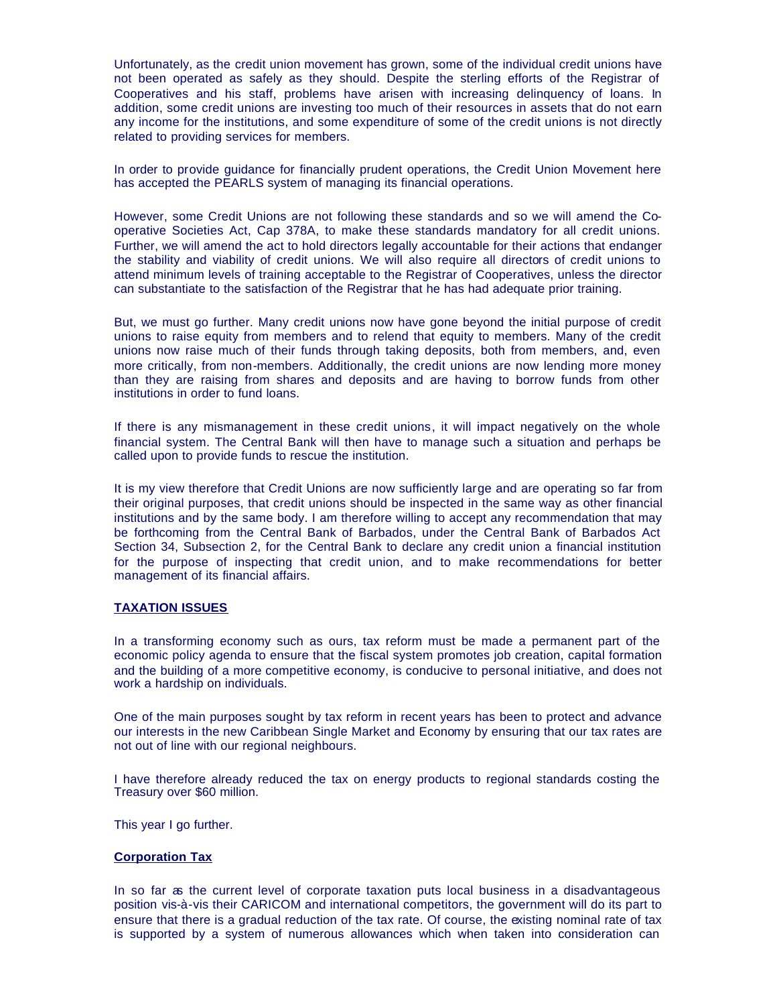Unfortunately, as the credit union movement has grown, some of the individual credit unions have not been operated as safely as they should. Despite the sterling efforts of the Registrar of Cooperatives and his staff, problems have arisen with increasing delinquency of loans. In addition, some credit unions are investing too much of their resources in assets that do not earn any income for the institutions, and some expenditure of some of the credit unions is not directly related to providing services for members.

In order to provide guidance for financially prudent operations, the Credit Union Movement here has accepted the PEARLS system of managing its financial operations.

However, some Credit Unions are not following these standards and so we will amend the Cooperative Societies Act, Cap 378A, to make these standards mandatory for all credit unions. Further, we will amend the act to hold directors legally accountable for their actions that endanger the stability and viability of credit unions. We will also require all directors of credit unions to attend minimum levels of training acceptable to the Registrar of Cooperatives, unless the director can substantiate to the satisfaction of the Registrar that he has had adequate prior training.

But, we must go further. Many credit unions now have gone beyond the initial purpose of credit unions to raise equity from members and to relend that equity to members. Many of the credit unions now raise much of their funds through taking deposits, both from members, and, even more critically, from non-members. Additionally, the credit unions are now lending more money than they are raising from shares and deposits and are having to borrow funds from other institutions in order to fund loans.

If there is any mismanagement in these credit unions, it will impact negatively on the whole financial system. The Central Bank will then have to manage such a situation and perhaps be called upon to provide funds to rescue the institution.

It is my view therefore that Credit Unions are now sufficiently large and are operating so far from their original purposes, that credit unions should be inspected in the same way as other financial institutions and by the same body. I am therefore willing to accept any recommendation that may be forthcoming from the Central Bank of Barbados, under the Central Bank of Barbados Act Section 34, Subsection 2, for the Central Bank to declare any credit union a financial institution for the purpose of inspecting that credit union, and to make recommendations for better management of its financial affairs.

# **TAXATION ISSUES**

In a transforming economy such as ours, tax reform must be made a permanent part of the economic policy agenda to ensure that the fiscal system promotes job creation, capital formation and the building of a more competitive economy, is conducive to personal initiative, and does not work a hardship on individuals.

One of the main purposes sought by tax reform in recent years has been to protect and advance our interests in the new Caribbean Single Market and Economy by ensuring that our tax rates are not out of line with our regional neighbours.

I have therefore already reduced the tax on energy products to regional standards costing the Treasury over \$60 million.

This year I go further.

# **Corporation Tax**

In so far as the current level of corporate taxation puts local business in a disadvantageous position vis-à-vis their CARICOM and international competitors, the government will do its part to ensure that there is a gradual reduction of the tax rate. Of course, the existing nominal rate of tax is supported by a system of numerous allowances which when taken into consideration can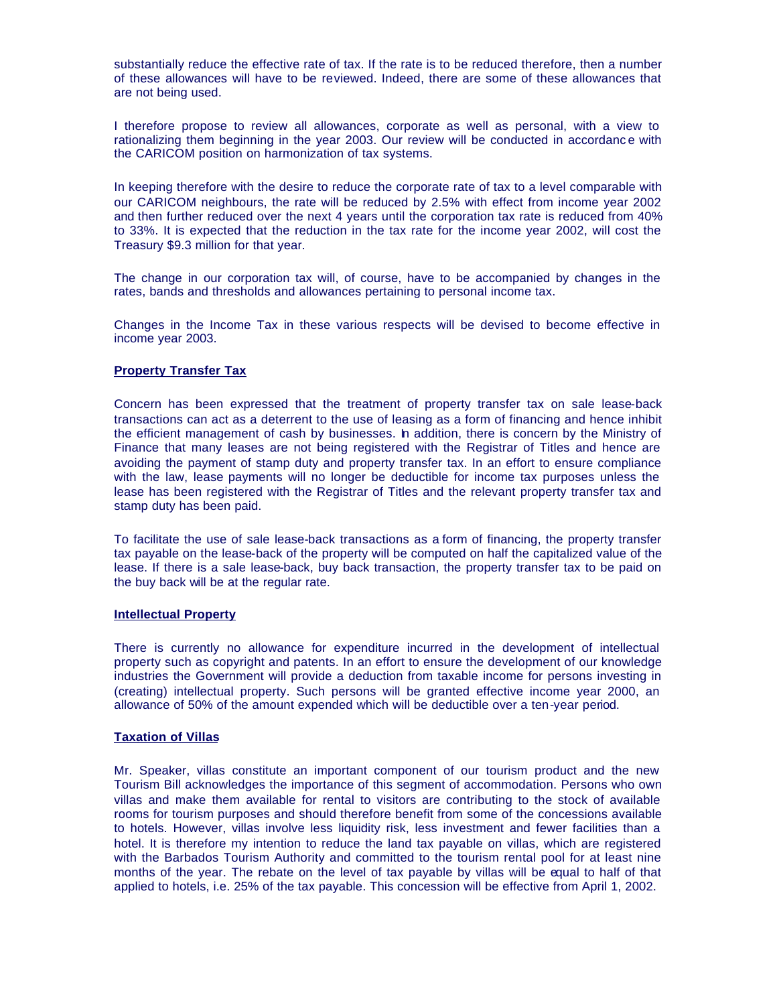substantially reduce the effective rate of tax. If the rate is to be reduced therefore, then a number of these allowances will have to be reviewed. Indeed, there are some of these allowances that are not being used.

I therefore propose to review all allowances, corporate as well as personal, with a view to rationalizing them beginning in the year 2003. Our review will be conducted in accordance with the CARICOM position on harmonization of tax systems.

In keeping therefore with the desire to reduce the corporate rate of tax to a level comparable with our CARICOM neighbours, the rate will be reduced by 2.5% with effect from income year 2002 and then further reduced over the next 4 years until the corporation tax rate is reduced from 40% to 33%. It is expected that the reduction in the tax rate for the income year 2002, will cost the Treasury \$9.3 million for that year.

The change in our corporation tax will, of course, have to be accompanied by changes in the rates, bands and thresholds and allowances pertaining to personal income tax.

Changes in the Income Tax in these various respects will be devised to become effective in income year 2003.

# **Property Transfer Tax**

Concern has been expressed that the treatment of property transfer tax on sale lease-back transactions can act as a deterrent to the use of leasing as a form of financing and hence inhibit the efficient management of cash by businesses. In addition, there is concern by the Ministry of Finance that many leases are not being registered with the Registrar of Titles and hence are avoiding the payment of stamp duty and property transfer tax. In an effort to ensure compliance with the law, lease payments will no longer be deductible for income tax purposes unless the lease has been registered with the Registrar of Titles and the relevant property transfer tax and stamp duty has been paid.

To facilitate the use of sale lease-back transactions as a form of financing, the property transfer tax payable on the lease-back of the property will be computed on half the capitalized value of the lease. If there is a sale lease-back, buy back transaction, the property transfer tax to be paid on the buy back will be at the regular rate.

# **Intellectual Property**

There is currently no allowance for expenditure incurred in the development of intellectual property such as copyright and patents. In an effort to ensure the development of our knowledge industries the Government will provide a deduction from taxable income for persons investing in (creating) intellectual property. Such persons will be granted effective income year 2000, an allowance of 50% of the amount expended which will be deductible over a ten-year period.

### **Taxation of Villas**

Mr. Speaker, villas constitute an important component of our tourism product and the new Tourism Bill acknowledges the importance of this segment of accommodation. Persons who own villas and make them available for rental to visitors are contributing to the stock of available rooms for tourism purposes and should therefore benefit from some of the concessions available to hotels. However, villas involve less liquidity risk, less investment and fewer facilities than a hotel. It is therefore my intention to reduce the land tax payable on villas, which are registered with the Barbados Tourism Authority and committed to the tourism rental pool for at least nine months of the year. The rebate on the level of tax payable by villas will be equal to half of that applied to hotels, i.e. 25% of the tax payable. This concession will be effective from April 1, 2002.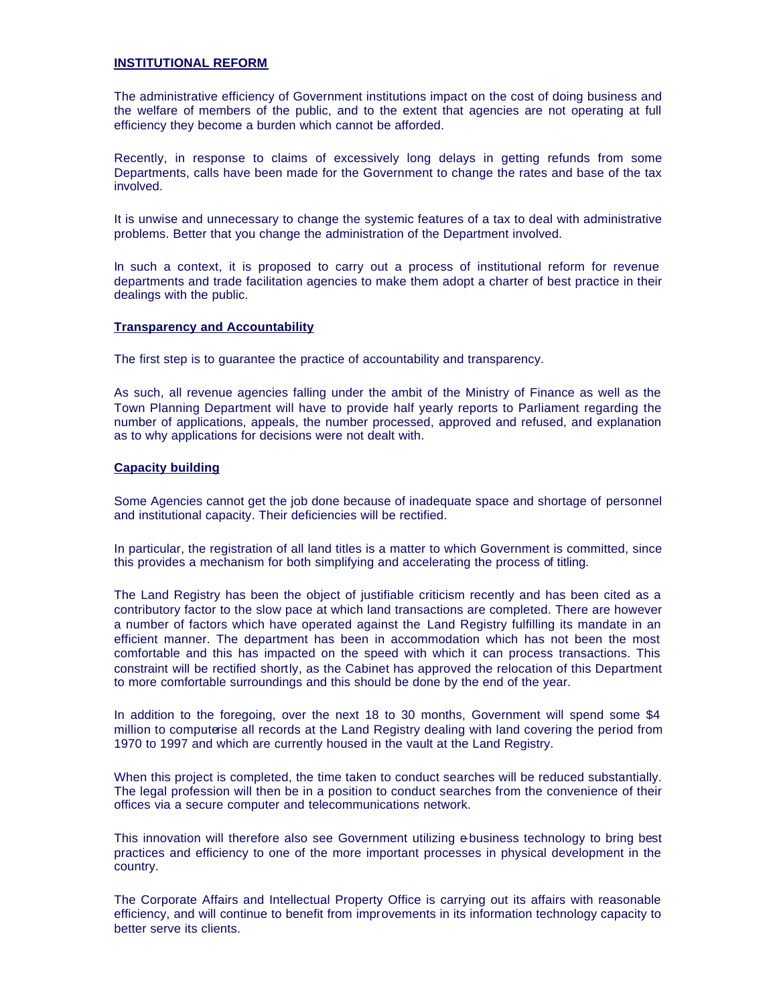# **INSTITUTIONAL REFORM**

The administrative efficiency of Government institutions impact on the cost of doing business and the welfare of members of the public, and to the extent that agencies are not operating at full efficiency they become a burden which cannot be afforded.

Recently, in response to claims of excessively long delays in getting refunds from some Departments, calls have been made for the Government to change the rates and base of the tax involved.

It is unwise and unnecessary to change the systemic features of a tax to deal with administrative problems. Better that you change the administration of the Department involved.

In such a context, it is proposed to carry out a process of institutional reform for revenue departments and trade facilitation agencies to make them adopt a charter of best practice in their dealings with the public.

### **Transparency and Accountability**

The first step is to guarantee the practice of accountability and transparency.

As such, all revenue agencies falling under the ambit of the Ministry of Finance as well as the Town Planning Department will have to provide half yearly reports to Parliament regarding the number of applications, appeals, the number processed, approved and refused, and explanation as to why applications for decisions were not dealt with.

# **Capacity building**

Some Agencies cannot get the job done because of inadequate space and shortage of personnel and institutional capacity. Their deficiencies will be rectified.

In particular, the registration of all land titles is a matter to which Government is committed, since this provides a mechanism for both simplifying and accelerating the process of titling.

The Land Registry has been the object of justifiable criticism recently and has been cited as a contributory factor to the slow pace at which land transactions are completed. There are however a number of factors which have operated against the Land Registry fulfilling its mandate in an efficient manner. The department has been in accommodation which has not been the most comfortable and this has impacted on the speed with which it can process transactions. This constraint will be rectified shortly, as the Cabinet has approved the relocation of this Department to more comfortable surroundings and this should be done by the end of the year.

In addition to the foregoing, over the next 18 to 30 months, Government will spend some \$4 million to computerise all records at the Land Registry dealing with land covering the period from 1970 to 1997 and which are currently housed in the vault at the Land Registry.

When this project is completed, the time taken to conduct searches will be reduced substantially. The legal profession will then be in a position to conduct searches from the convenience of their offices via a secure computer and telecommunications network.

This innovation will therefore also see Government utilizing ebusiness technology to bring best practices and efficiency to one of the more important processes in physical development in the country.

The Corporate Affairs and Intellectual Property Office is carrying out its affairs with reasonable efficiency, and will continue to benefit from improvements in its information technology capacity to better serve its clients.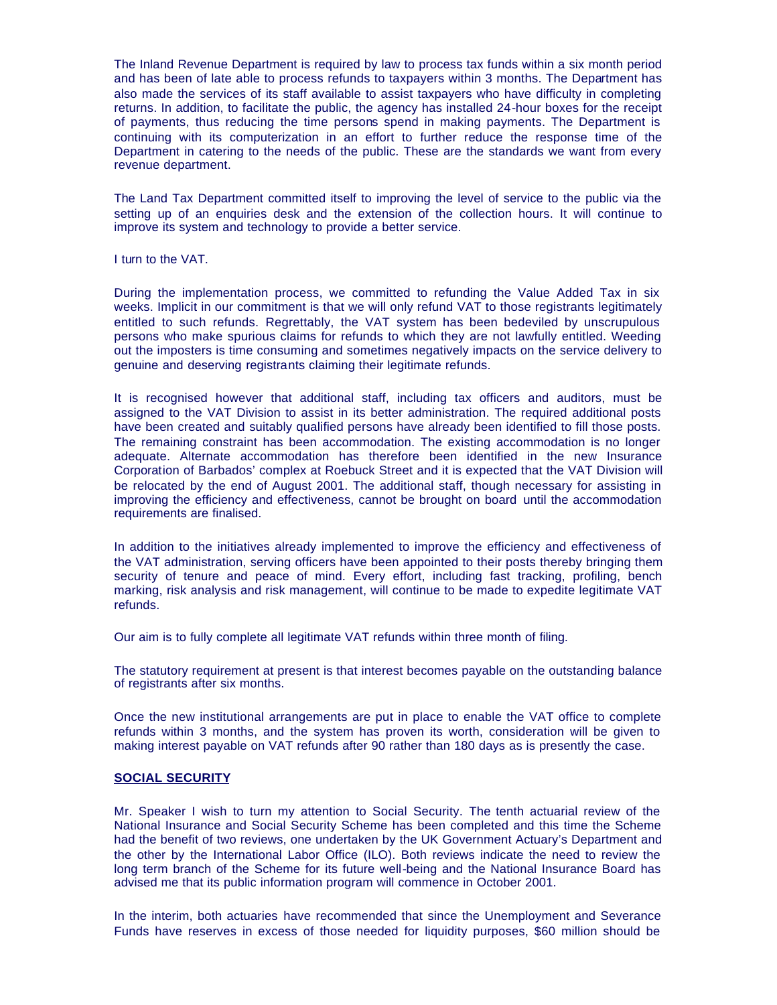The Inland Revenue Department is required by law to process tax funds within a six month period and has been of late able to process refunds to taxpayers within 3 months. The Department has also made the services of its staff available to assist taxpayers who have difficulty in completing returns. In addition, to facilitate the public, the agency has installed 24-hour boxes for the receipt of payments, thus reducing the time persons spend in making payments. The Department is continuing with its computerization in an effort to further reduce the response time of the Department in catering to the needs of the public. These are the standards we want from every revenue department.

The Land Tax Department committed itself to improving the level of service to the public via the setting up of an enquiries desk and the extension of the collection hours. It will continue to improve its system and technology to provide a better service.

I turn to the VAT.

During the implementation process, we committed to refunding the Value Added Tax in six weeks. Implicit in our commitment is that we will only refund VAT to those registrants legitimately entitled to such refunds. Regrettably, the VAT system has been bedeviled by unscrupulous persons who make spurious claims for refunds to which they are not lawfully entitled. Weeding out the imposters is time consuming and sometimes negatively impacts on the service delivery to genuine and deserving registrants claiming their legitimate refunds.

It is recognised however that additional staff, including tax officers and auditors, must be assigned to the VAT Division to assist in its better administration. The required additional posts have been created and suitably qualified persons have already been identified to fill those posts. The remaining constraint has been accommodation. The existing accommodation is no longer adequate. Alternate accommodation has therefore been identified in the new Insurance Corporation of Barbados' complex at Roebuck Street and it is expected that the VAT Division will be relocated by the end of August 2001. The additional staff, though necessary for assisting in improving the efficiency and effectiveness, cannot be brought on board until the accommodation requirements are finalised.

In addition to the initiatives already implemented to improve the efficiency and effectiveness of the VAT administration, serving officers have been appointed to their posts thereby bringing them security of tenure and peace of mind. Every effort, including fast tracking, profiling, bench marking, risk analysis and risk management, will continue to be made to expedite legitimate VAT refunds.

Our aim is to fully complete all legitimate VAT refunds within three month of filing.

The statutory requirement at present is that interest becomes payable on the outstanding balance of registrants after six months.

Once the new institutional arrangements are put in place to enable the VAT office to complete refunds within 3 months, and the system has proven its worth, consideration will be given to making interest payable on VAT refunds after 90 rather than 180 days as is presently the case.

### **SOCIAL SECURITY**

Mr. Speaker I wish to turn my attention to Social Security. The tenth actuarial review of the National Insurance and Social Security Scheme has been completed and this time the Scheme had the benefit of two reviews, one undertaken by the UK Government Actuary's Department and the other by the International Labor Office (ILO). Both reviews indicate the need to review the long term branch of the Scheme for its future well-being and the National Insurance Board has advised me that its public information program will commence in October 2001.

In the interim, both actuaries have recommended that since the Unemployment and Severance Funds have reserves in excess of those needed for liquidity purposes, \$60 million should be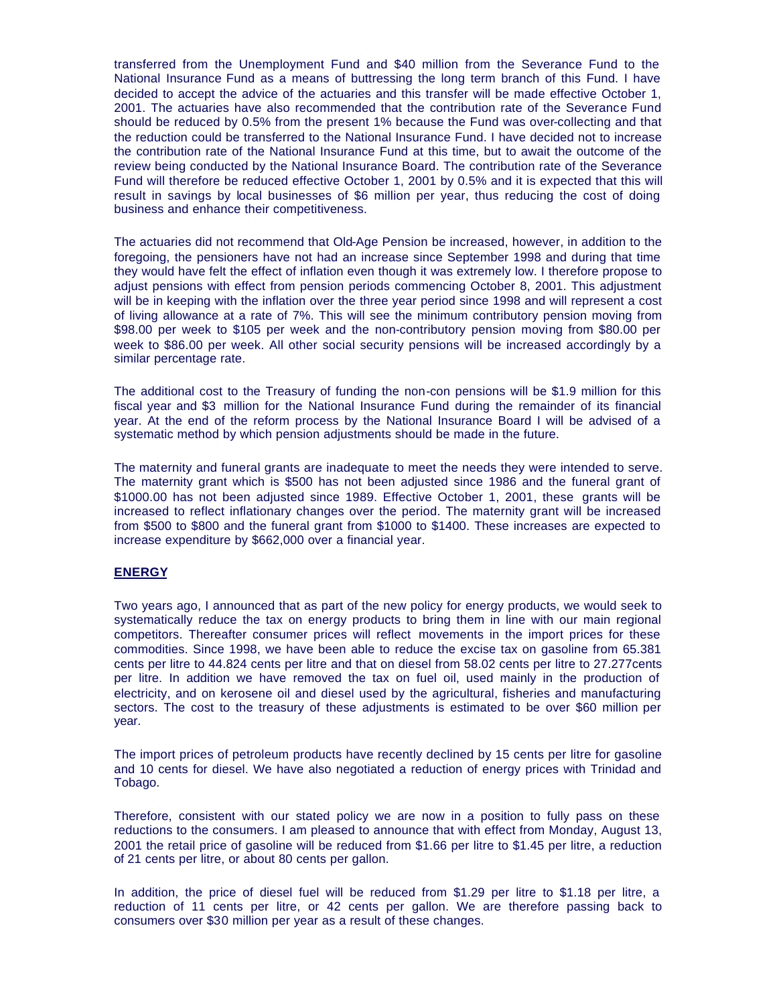transferred from the Unemployment Fund and \$40 million from the Severance Fund to the National Insurance Fund as a means of buttressing the long term branch of this Fund. I have decided to accept the advice of the actuaries and this transfer will be made effective October 1, 2001. The actuaries have also recommended that the contribution rate of the Severance Fund should be reduced by 0.5% from the present 1% because the Fund was over-collecting and that the reduction could be transferred to the National Insurance Fund. I have decided not to increase the contribution rate of the National Insurance Fund at this time, but to await the outcome of the review being conducted by the National Insurance Board. The contribution rate of the Severance Fund will therefore be reduced effective October 1, 2001 by 0.5% and it is expected that this will result in savings by local businesses of \$6 million per year, thus reducing the cost of doing business and enhance their competitiveness.

The actuaries did not recommend that Old-Age Pension be increased, however, in addition to the foregoing, the pensioners have not had an increase since September 1998 and during that time they would have felt the effect of inflation even though it was extremely low. I therefore propose to adjust pensions with effect from pension periods commencing October 8, 2001. This adjustment will be in keeping with the inflation over the three year period since 1998 and will represent a cost of living allowance at a rate of 7%. This will see the minimum contributory pension moving from \$98.00 per week to \$105 per week and the non-contributory pension moving from \$80.00 per week to \$86.00 per week. All other social security pensions will be increased accordingly by a similar percentage rate.

The additional cost to the Treasury of funding the non-con pensions will be \$1.9 million for this fiscal year and \$3 million for the National Insurance Fund during the remainder of its financial year. At the end of the reform process by the National Insurance Board I will be advised of a systematic method by which pension adjustments should be made in the future.

The maternity and funeral grants are inadequate to meet the needs they were intended to serve. The maternity grant which is \$500 has not been adjusted since 1986 and the funeral grant of \$1000.00 has not been adjusted since 1989. Effective October 1, 2001, these grants will be increased to reflect inflationary changes over the period. The maternity grant will be increased from \$500 to \$800 and the funeral grant from \$1000 to \$1400. These increases are expected to increase expenditure by \$662,000 over a financial year.

# **ENERGY**

Two years ago, I announced that as part of the new policy for energy products, we would seek to systematically reduce the tax on energy products to bring them in line with our main regional competitors. Thereafter consumer prices will reflect movements in the import prices for these commodities. Since 1998, we have been able to reduce the excise tax on gasoline from 65.381 cents per litre to 44.824 cents per litre and that on diesel from 58.02 cents per litre to 27.277cents per litre. In addition we have removed the tax on fuel oil, used mainly in the production of electricity, and on kerosene oil and diesel used by the agricultural, fisheries and manufacturing sectors. The cost to the treasury of these adjustments is estimated to be over \$60 million per year.

The import prices of petroleum products have recently declined by 15 cents per litre for gasoline and 10 cents for diesel. We have also negotiated a reduction of energy prices with Trinidad and Tobago.

Therefore, consistent with our stated policy we are now in a position to fully pass on these reductions to the consumers. I am pleased to announce that with effect from Monday, August 13, 2001 the retail price of gasoline will be reduced from \$1.66 per litre to \$1.45 per litre, a reduction of 21 cents per litre, or about 80 cents per gallon.

In addition, the price of diesel fuel will be reduced from \$1.29 per litre to \$1.18 per litre, a reduction of 11 cents per litre, or 42 cents per gallon. We are therefore passing back to consumers over \$30 million per year as a result of these changes.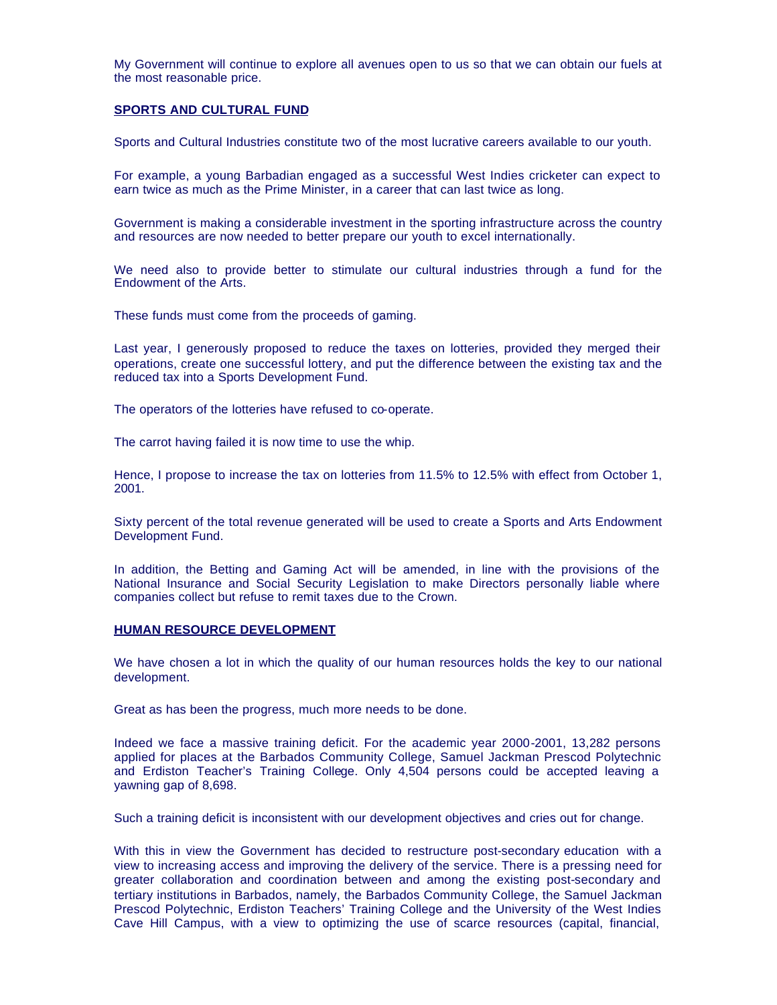My Government will continue to explore all avenues open to us so that we can obtain our fuels at the most reasonable price.

#### **SPORTS AND CULTURAL FUND**

Sports and Cultural Industries constitute two of the most lucrative careers available to our youth.

For example, a young Barbadian engaged as a successful West Indies cricketer can expect to earn twice as much as the Prime Minister, in a career that can last twice as long.

Government is making a considerable investment in the sporting infrastructure across the country and resources are now needed to better prepare our youth to excel internationally.

We need also to provide better to stimulate our cultural industries through a fund for the Endowment of the Arts.

These funds must come from the proceeds of gaming.

Last year, I generously proposed to reduce the taxes on lotteries, provided they merged their operations, create one successful lottery, and put the difference between the existing tax and the reduced tax into a Sports Development Fund.

The operators of the lotteries have refused to co-operate.

The carrot having failed it is now time to use the whip.

Hence, I propose to increase the tax on lotteries from 11.5% to 12.5% with effect from October 1, 2001.

Sixty percent of the total revenue generated will be used to create a Sports and Arts Endowment Development Fund.

In addition, the Betting and Gaming Act will be amended, in line with the provisions of the National Insurance and Social Security Legislation to make Directors personally liable where companies collect but refuse to remit taxes due to the Crown.

#### **HUMAN RESOURCE DEVELOPMENT**

We have chosen a lot in which the quality of our human resources holds the key to our national development.

Great as has been the progress, much more needs to be done.

Indeed we face a massive training deficit. For the academic year 2000-2001, 13,282 persons applied for places at the Barbados Community College, Samuel Jackman Prescod Polytechnic and Erdiston Teacher's Training College. Only 4,504 persons could be accepted leaving a yawning gap of 8,698.

Such a training deficit is inconsistent with our development objectives and cries out for change.

With this in view the Government has decided to restructure post-secondary education with a view to increasing access and improving the delivery of the service. There is a pressing need for greater collaboration and coordination between and among the existing post-secondary and tertiary institutions in Barbados, namely, the Barbados Community College, the Samuel Jackman Prescod Polytechnic, Erdiston Teachers' Training College and the University of the West Indies Cave Hill Campus, with a view to optimizing the use of scarce resources (capital, financial,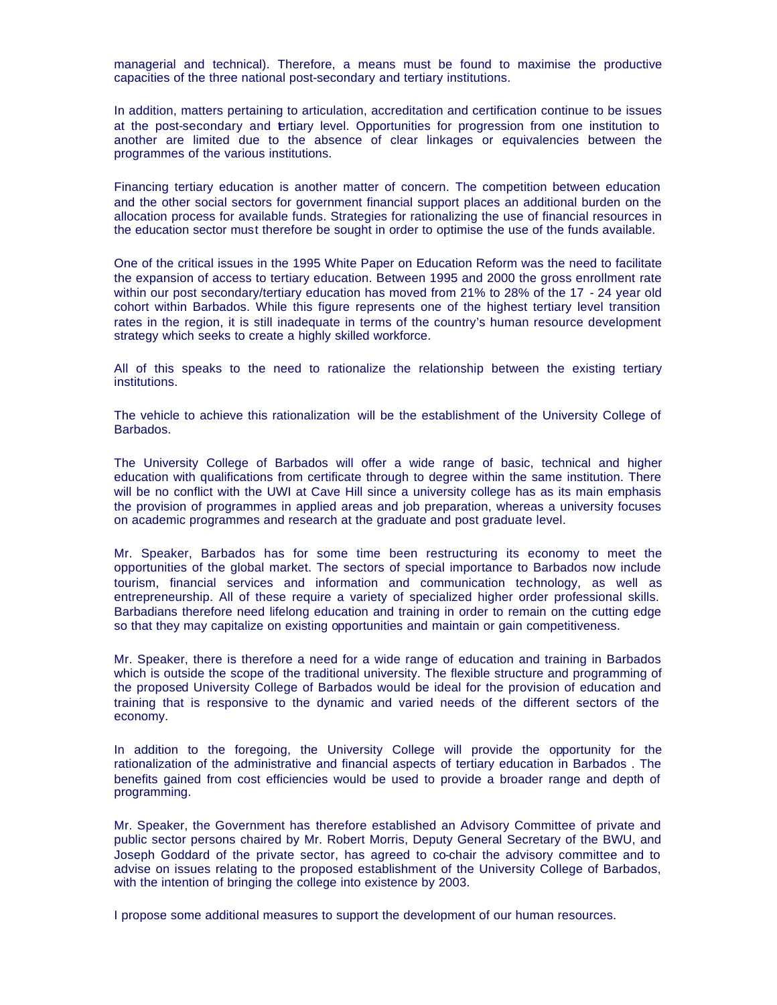managerial and technical). Therefore, a means must be found to maximise the productive capacities of the three national post-secondary and tertiary institutions.

In addition, matters pertaining to articulation, accreditation and certification continue to be issues at the post-secondary and ertiary level. Opportunities for progression from one institution to another are limited due to the absence of clear linkages or equivalencies between the programmes of the various institutions.

Financing tertiary education is another matter of concern. The competition between education and the other social sectors for government financial support places an additional burden on the allocation process for available funds. Strategies for rationalizing the use of financial resources in the education sector must therefore be sought in order to optimise the use of the funds available.

One of the critical issues in the 1995 White Paper on Education Reform was the need to facilitate the expansion of access to tertiary education. Between 1995 and 2000 the gross enrollment rate within our post secondary/tertiary education has moved from 21% to 28% of the 17 - 24 year old cohort within Barbados. While this figure represents one of the highest tertiary level transition rates in the region, it is still inadequate in terms of the country's human resource development strategy which seeks to create a highly skilled workforce.

All of this speaks to the need to rationalize the relationship between the existing tertiary institutions.

The vehicle to achieve this rationalization will be the establishment of the University College of Barbados.

The University College of Barbados will offer a wide range of basic, technical and higher education with qualifications from certificate through to degree within the same institution. There will be no conflict with the UWI at Cave Hill since a university college has as its main emphasis the provision of programmes in applied areas and job preparation, whereas a university focuses on academic programmes and research at the graduate and post graduate level.

Mr. Speaker, Barbados has for some time been restructuring its economy to meet the opportunities of the global market. The sectors of special importance to Barbados now include tourism, financial services and information and communication technology, as well as entrepreneurship. All of these require a variety of specialized higher order professional skills. Barbadians therefore need lifelong education and training in order to remain on the cutting edge so that they may capitalize on existing opportunities and maintain or gain competitiveness.

Mr. Speaker, there is therefore a need for a wide range of education and training in Barbados which is outside the scope of the traditional university. The flexible structure and programming of the proposed University College of Barbados would be ideal for the provision of education and training that is responsive to the dynamic and varied needs of the different sectors of the economy.

In addition to the foregoing, the University College will provide the opportunity for the rationalization of the administrative and financial aspects of tertiary education in Barbados . The benefits gained from cost efficiencies would be used to provide a broader range and depth of programming.

Mr. Speaker, the Government has therefore established an Advisory Committee of private and public sector persons chaired by Mr. Robert Morris, Deputy General Secretary of the BWU, and Joseph Goddard of the private sector, has agreed to co-chair the advisory committee and to advise on issues relating to the proposed establishment of the University College of Barbados, with the intention of bringing the college into existence by 2003.

I propose some additional measures to support the development of our human resources.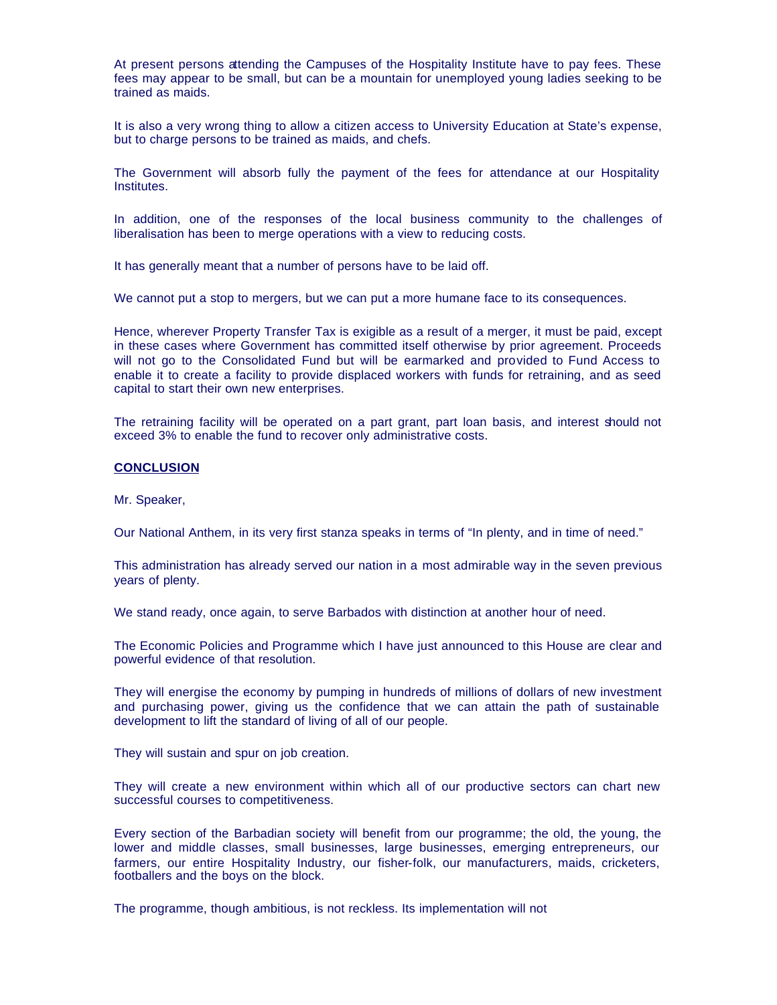At present persons attending the Campuses of the Hospitality Institute have to pay fees. These fees may appear to be small, but can be a mountain for unemployed young ladies seeking to be trained as maids.

It is also a very wrong thing to allow a citizen access to University Education at State's expense, but to charge persons to be trained as maids, and chefs.

The Government will absorb fully the payment of the fees for attendance at our Hospitality Institutes.

In addition, one of the responses of the local business community to the challenges of liberalisation has been to merge operations with a view to reducing costs.

It has generally meant that a number of persons have to be laid off.

We cannot put a stop to mergers, but we can put a more humane face to its consequences.

Hence, wherever Property Transfer Tax is exigible as a result of a merger, it must be paid, except in these cases where Government has committed itself otherwise by prior agreement. Proceeds will not go to the Consolidated Fund but will be earmarked and provided to Fund Access to enable it to create a facility to provide displaced workers with funds for retraining, and as seed capital to start their own new enterprises.

The retraining facility will be operated on a part grant, part loan basis, and interest should not exceed 3% to enable the fund to recover only administrative costs.

#### **CONCLUSION**

Mr. Speaker,

Our National Anthem, in its very first stanza speaks in terms of "In plenty, and in time of need."

This administration has already served our nation in a most admirable way in the seven previous years of plenty.

We stand ready, once again, to serve Barbados with distinction at another hour of need.

The Economic Policies and Programme which I have just announced to this House are clear and powerful evidence of that resolution.

They will energise the economy by pumping in hundreds of millions of dollars of new investment and purchasing power, giving us the confidence that we can attain the path of sustainable development to lift the standard of living of all of our people.

They will sustain and spur on job creation.

They will create a new environment within which all of our productive sectors can chart new successful courses to competitiveness.

Every section of the Barbadian society will benefit from our programme; the old, the young, the lower and middle classes, small businesses, large businesses, emerging entrepreneurs, our farmers, our entire Hospitality Industry, our fisher-folk, our manufacturers, maids, cricketers, footballers and the boys on the block.

The programme, though ambitious, is not reckless. Its implementation will not